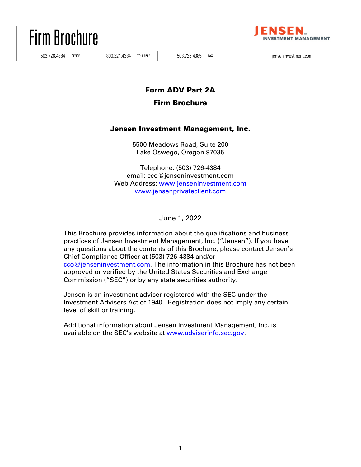



503.726.4384 OFFICE | 800.221.4384 TOLL FREE | 503.726.4385 FAX | ienseninvestment.com

# Form ADV Part 2A

# Firm Brochure

# Jensen Investment Management, Inc.

5500 Meadows Road, Suite 200 Lake Oswego, Oregon 97035

Telephone: (503) 726-4384 email: cco@jenseninvestment.com Web Address: www.jenseninvestment.com www.jensenprivateclient.com

June 1, 2022

This Brochure provides information about the qualifications and business practices of Jensen Investment Management, Inc. ("Jensen"). If you have any questions about the contents of this Brochure, please contact Jensen's Chief Compliance Officer at (503) 726-4384 and/or cco@jenseninvestment.com. The information in this Brochure has not been approved or verified by the United States Securities and Exchange Commission ("SEC") or by any state securities authority.

Jensen is an investment adviser registered with the SEC under the Investment Advisers Act of 1940. Registration does not imply any certain level of skill or training.

Additional information about Jensen Investment Management, Inc. is available on the SEC's website at www.adviserinfo.sec.gov.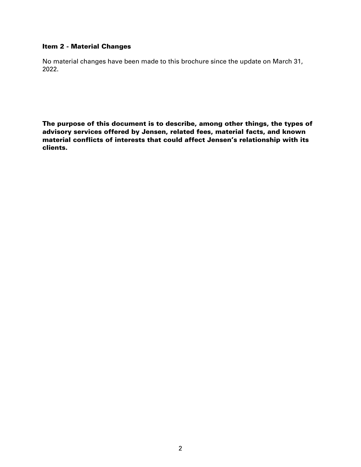### Item 2 - Material Changes

No material changes have been made to this brochure since the update on March 31, 2022.

The purpose of this document is to describe, among other things, the types of advisory services offered by Jensen, related fees, material facts, and known material conflicts of interests that could affect Jensen's relationship with its clients.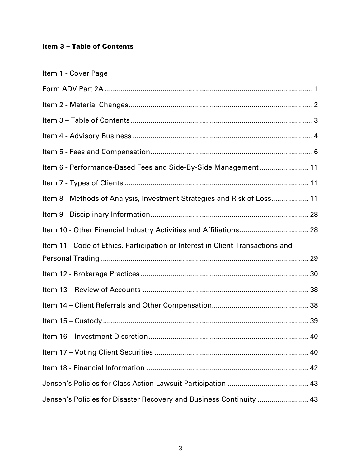# Item 3 – Table of Contents

| Item 1 - Cover Page                                                            |
|--------------------------------------------------------------------------------|
|                                                                                |
|                                                                                |
|                                                                                |
|                                                                                |
|                                                                                |
| Item 6 - Performance-Based Fees and Side-By-Side Management 11                 |
|                                                                                |
| Item 8 - Methods of Analysis, Investment Strategies and Risk of Loss 11        |
|                                                                                |
|                                                                                |
|                                                                                |
| Item 11 - Code of Ethics, Participation or Interest in Client Transactions and |
|                                                                                |
|                                                                                |
|                                                                                |
|                                                                                |
|                                                                                |
|                                                                                |
|                                                                                |
|                                                                                |
|                                                                                |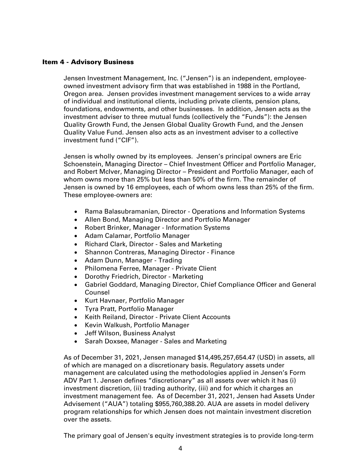### Item 4 - Advisory Business

Jensen Investment Management, Inc. ("Jensen") is an independent, employeeowned investment advisory firm that was established in 1988 in the Portland, Oregon area. Jensen provides investment management services to a wide array of individual and institutional clients, including private clients, pension plans, foundations, endowments, and other businesses. In addition, Jensen acts as the investment adviser to three mutual funds (collectively the "Funds"): the Jensen Quality Growth Fund, the Jensen Global Quality Growth Fund, and the Jensen Quality Value Fund. Jensen also acts as an investment adviser to a collective investment fund ("CIF").

Jensen is wholly owned by its employees. Jensen's principal owners are Eric Schoenstein, Managing Director – Chief Investment Officer and Portfolio Manager, and Robert McIver, Managing Director – President and Portfolio Manager, each of whom owns more than 25% but less than 50% of the firm. The remainder of Jensen is owned by 16 employees, each of whom owns less than 25% of the firm. These employee-owners are:

- Rama Balasubramanian, Director Operations and Information Systems
- Allen Bond, Managing Director and Portfolio Manager
- Robert Brinker, Manager Information Systems
- Adam Calamar, Portfolio Manager
- Richard Clark, Director Sales and Marketing
- Shannon Contreras, Managing Director Finance
- Adam Dunn, Manager Trading
- Philomena Ferree, Manager Private Client
- Dorothy Friedrich, Director Marketing
- Gabriel Goddard, Managing Director, Chief Compliance Officer and General Counsel
- Kurt Havnaer, Portfolio Manager
- Tyra Pratt, Portfolio Manager
- Keith Reiland, Director Private Client Accounts
- Kevin Walkush, Portfolio Manager
- Jeff Wilson, Business Analyst
- Sarah Doxsee, Manager Sales and Marketing

As of December 31, 2021, Jensen managed \$14,495,257,654.47 (USD) in assets, all of which are managed on a discretionary basis. Regulatory assets under management are calculated using the methodologies applied in Jensen's Form ADV Part 1. Jensen defines "discretionary" as all assets over which it has (i) investment discretion, (ii) trading authority, (iii) and for which it charges an investment management fee. As of December 31, 2021, Jensen had Assets Under Advisement ("AUA") totaling \$955,760,388.20. AUA are assets in model delivery program relationships for which Jensen does not maintain investment discretion over the assets.

The primary goal of Jensen's equity investment strategies is to provide long-term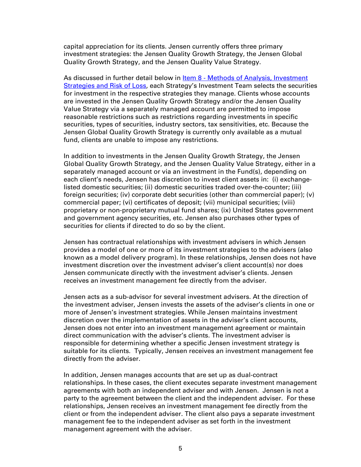capital appreciation for its clients. Jensen currently offers three primary investment strategies: the Jensen Quality Growth Strategy, the Jensen Global Quality Growth Strategy, and the Jensen Quality Value Strategy.

As discussed in further detail below in Item 8 - Methods of Analysis, Investment Strategies and Risk of Loss, each Strategy's Investment Team selects the securities for investment in the respective strategies they manage. Clients whose accounts are invested in the Jensen Quality Growth Strategy and/or the Jensen Quality Value Strategy via a separately managed account are permitted to impose reasonable restrictions such as restrictions regarding investments in specific securities, types of securities, industry sectors, tax sensitivities, etc. Because the Jensen Global Quality Growth Strategy is currently only available as a mutual fund, clients are unable to impose any restrictions.

In addition to investments in the Jensen Quality Growth Strategy, the Jensen Global Quality Growth Strategy, and the Jensen Quality Value Strategy, either in a separately managed account or via an investment in the Fund(s), depending on each client's needs, Jensen has discretion to invest client assets in: (i) exchangelisted domestic securities; (ii) domestic securities traded over-the-counter; (iii) foreign securities; (iv) corporate debt securities (other than commercial paper); (v) commercial paper; (vi) certificates of deposit; (vii) municipal securities; (viii) proprietary or non-proprietary mutual fund shares; (ix) United States government and government agency securities, etc. Jensen also purchases other types of securities for clients if directed to do so by the client.

Jensen has contractual relationships with investment advisers in which Jensen provides a model of one or more of its investment strategies to the advisers (also known as a model delivery program). In these relationships, Jensen does not have investment discretion over the investment adviser's client account(s) nor does Jensen communicate directly with the investment adviser's clients. Jensen receives an investment management fee directly from the adviser.

Jensen acts as a sub-advisor for several investment advisers. At the direction of the investment adviser, Jensen invests the assets of the adviser's clients in one or more of Jensen's investment strategies. While Jensen maintains investment discretion over the implementation of assets in the adviser's client accounts, Jensen does not enter into an investment management agreement or maintain direct communication with the adviser's clients. The investment adviser is responsible for determining whether a specific Jensen investment strategy is suitable for its clients. Typically, Jensen receives an investment management fee directly from the adviser.

In addition, Jensen manages accounts that are set up as dual-contract relationships. In these cases, the client executes separate investment management agreements with both an independent adviser and with Jensen. Jensen is not a party to the agreement between the client and the independent adviser. For these relationships, Jensen receives an investment management fee directly from the client or from the independent adviser. The client also pays a separate investment management fee to the independent adviser as set forth in the investment management agreement with the adviser.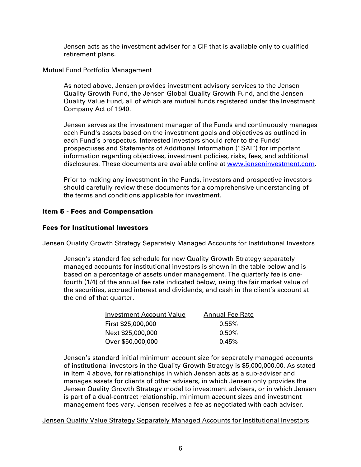Jensen acts as the investment adviser for a CIF that is available only to qualified retirement plans.

# Mutual Fund Portfolio Management

As noted above, Jensen provides investment advisory services to the Jensen Quality Growth Fund, the Jensen Global Quality Growth Fund, and the Jensen Quality Value Fund, all of which are mutual funds registered under the Investment Company Act of 1940.

Jensen serves as the investment manager of the Funds and continuously manages each Fund's assets based on the investment goals and objectives as outlined in each Fund's prospectus. Interested investors should refer to the Funds' prospectuses and Statements of Additional Information ("SAI") for important information regarding objectives, investment policies, risks, fees, and additional disclosures. These documents are available online at www.jenseninvestment.com.

Prior to making any investment in the Funds, investors and prospective investors should carefully review these documents for a comprehensive understanding of the terms and conditions applicable for investment.

# Item 5 - Fees and Compensation

# Fees for Institutional Investors

# Jensen Quality Growth Strategy Separately Managed Accounts for Institutional Investors

Jensen's standard fee schedule for new Quality Growth Strategy separately managed accounts for institutional investors is shown in the table below and is based on a percentage of assets under management. The quarterly fee is onefourth (1/4) of the annual fee rate indicated below, using the fair market value of the securities, accrued interest and dividends, and cash in the client's account at the end of that quarter.

| Investment Account Value | <b>Annual Fee Rate</b> |
|--------------------------|------------------------|
| First \$25,000,000       | $0.55\%$               |
| Next \$25,000,000        | $0.50\%$               |
| Over \$50,000,000        | 0.45%                  |

Jensen's standard initial minimum account size for separately managed accounts of institutional investors in the Quality Growth Strategy is \$5,000,000.00. As stated in Item 4 above, for relationships in which Jensen acts as a sub-adviser and manages assets for clients of other advisers, in which Jensen only provides the Jensen Quality Growth Strategy model to investment advisers, or in which Jensen is part of a dual-contract relationship, minimum account sizes and investment management fees vary. Jensen receives a fee as negotiated with each adviser.

# Jensen Quality Value Strategy Separately Managed Accounts for Institutional Investors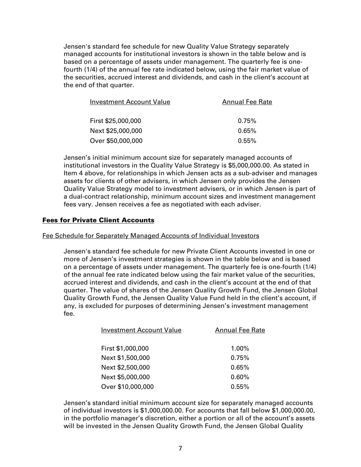Jensen's standard fee schedule for new Quality Value Strategy separately managed accounts for institutional investors is shown in the table below and is based on a percentage of assets under management. The quarterly fee is onefourth (1/4) of the annual fee rate indicated below, using the fair market value of the securities, accrued interest and dividends, and cash in the client's account at the end of that quarter.

| Investment Account Value | <b>Annual Fee Rate</b> |
|--------------------------|------------------------|
| First \$25,000,000       | 0.75%                  |
| Next \$25,000,000        | 0.65%                  |
| Over \$50,000,000        | $0.55\%$               |

Jensen's initial minimum account size for separately managed accounts of institutional investors in the Quality Value Strategy is \$5,000,000.00. As stated in Item 4 above, for relationships in which Jensen acts as a sub-adviser and manages assets for clients of other advisers, in which Jensen only provides the Jensen Quality Value Strategy model to investment advisers, or in which Jensen is part of a dual-contract relationship, minimum account sizes and investment management fees vary. Jensen receives a fee as negotiated with each adviser.

# Fees for Private Client Accounts

#### Fee Schedule for Separately Managed Accounts of Individual Investors

Jensen's standard fee schedule for new Private Client Accounts invested in one or more of Jensen's investment strategies is shown in the table below and is based on a percentage of assets under management. The quarterly fee is one-fourth (1/4) of the annual fee rate indicated below using the fair market value of the securities, accrued interest and dividends, and cash in the client's account at the end of that quarter. The value of shares of the Jensen Quality Growth Fund, the Jensen Global Quality Growth Fund, the Jensen Quality Value Fund held in the client's account, if any, is excluded for purposes of determining Jensen's investment management fee.

| <b>Investment Account Value</b> | <b>Annual Fee Rate</b> |
|---------------------------------|------------------------|
| First \$1,000,000               | 1.00%                  |
| Next \$1,500,000                | 0.75%                  |
| Next \$2,500,000                | 0.65%                  |
| Next \$5,000,000                | 0.60%                  |
| Over \$10,000,000               | 0.55%                  |

Jensen's standard initial minimum account size for separately managed accounts of individual investors is \$1,000,000.00. For accounts that fall below \$1,000,000.00, in the portfolio manager's discretion, either a portion or all of the account's assets will be invested in the Jensen Quality Growth Fund, the Jensen Global Quality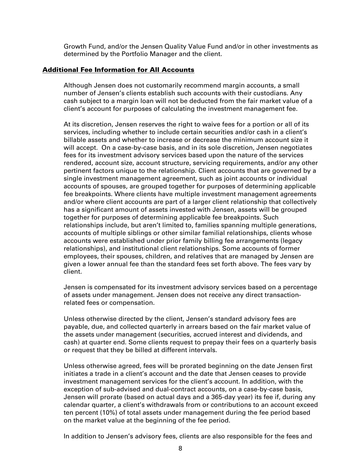Growth Fund, and/or the Jensen Quality Value Fund and/or in other investments as determined by the Portfolio Manager and the client.

### Additional Fee Information for All Accounts

Although Jensen does not customarily recommend margin accounts, a small number of Jensen's clients establish such accounts with their custodians. Any cash subject to a margin loan will not be deducted from the fair market value of a client's account for purposes of calculating the investment management fee.

At its discretion, Jensen reserves the right to waive fees for a portion or all of its services, including whether to include certain securities and/or cash in a client's billable assets and whether to increase or decrease the minimum account size it will accept. On a case-by-case basis, and in its sole discretion, Jensen negotiates fees for its investment advisory services based upon the nature of the services rendered, account size, account structure, servicing requirements, and/or any other pertinent factors unique to the relationship. Client accounts that are governed by a single investment management agreement, such as joint accounts or individual accounts of spouses, are grouped together for purposes of determining applicable fee breakpoints. Where clients have multiple investment management agreements and/or where client accounts are part of a larger client relationship that collectively has a significant amount of assets invested with Jensen, assets will be grouped together for purposes of determining applicable fee breakpoints. Such relationships include, but aren't limited to, families spanning multiple generations, accounts of multiple siblings or other similar familial relationships, clients whose accounts were established under prior family billing fee arrangements (legacy relationships), and institutional client relationships. Some accounts of former employees, their spouses, children, and relatives that are managed by Jensen are given a lower annual fee than the standard fees set forth above. The fees vary by client.

Jensen is compensated for its investment advisory services based on a percentage of assets under management. Jensen does not receive any direct transactionrelated fees or compensation.

Unless otherwise directed by the client, Jensen's standard advisory fees are payable, due, and collected quarterly in arrears based on the fair market value of the assets under management (securities, accrued interest and dividends, and cash) at quarter end. Some clients request to prepay their fees on a quarterly basis or request that they be billed at different intervals.

Unless otherwise agreed, fees will be prorated beginning on the date Jensen first initiates a trade in a client's account and the date that Jensen ceases to provide investment management services for the client's account. In addition, with the exception of sub-advised and dual-contract accounts, on a case-by-case basis, Jensen will prorate (based on actual days and a 365-day year) its fee if, during any calendar quarter, a client's withdrawals from or contributions to an account exceed ten percent (10%) of total assets under management during the fee period based on the market value at the beginning of the fee period.

In addition to Jensen's advisory fees, clients are also responsible for the fees and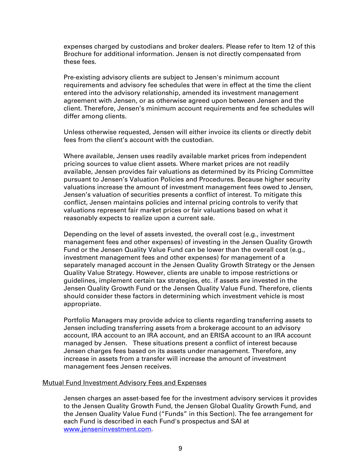expenses charged by custodians and broker dealers. Please refer to Item 12 of this Brochure for additional information. Jensen is not directly compensated from these fees.

Pre-existing advisory clients are subject to Jensen's minimum account requirements and advisory fee schedules that were in effect at the time the client entered into the advisory relationship, amended its investment management agreement with Jensen, or as otherwise agreed upon between Jensen and the client. Therefore, Jensen's minimum account requirements and fee schedules will differ among clients.

Unless otherwise requested, Jensen will either invoice its clients or directly debit fees from the client's account with the custodian.

Where available, Jensen uses readily available market prices from independent pricing sources to value client assets. Where market prices are not readily available, Jensen provides fair valuations as determined by its Pricing Committee pursuant to Jensen's Valuation Policies and Procedures. Because higher security valuations increase the amount of investment management fees owed to Jensen, Jensen's valuation of securities presents a conflict of interest. To mitigate this conflict, Jensen maintains policies and internal pricing controls to verify that valuations represent fair market prices or fair valuations based on what it reasonably expects to realize upon a current sale.

Depending on the level of assets invested, the overall cost (e.g., investment management fees and other expenses) of investing in the Jensen Quality Growth Fund or the Jensen Quality Value Fund can be lower than the overall cost (e.g., investment management fees and other expenses) for management of a separately managed account in the Jensen Quality Growth Strategy or the Jensen Quality Value Strategy. However, clients are unable to impose restrictions or guidelines, implement certain tax strategies, etc. if assets are invested in the Jensen Quality Growth Fund or the Jensen Quality Value Fund. Therefore, clients should consider these factors in determining which investment vehicle is most appropriate.

Portfolio Managers may provide advice to clients regarding transferring assets to Jensen including transferring assets from a brokerage account to an advisory account, IRA account to an IRA account, and an ERISA account to an IRA account managed by Jensen. These situations present a conflict of interest because Jensen charges fees based on its assets under management. Therefore, any increase in assets from a transfer will increase the amount of investment management fees Jensen receives.

#### Mutual Fund Investment Advisory Fees and Expenses

Jensen charges an asset-based fee for the investment advisory services it provides to the Jensen Quality Growth Fund, the Jensen Global Quality Growth Fund, and the Jensen Quality Value Fund ("Funds" in this Section). The fee arrangement for each Fund is described in each Fund's prospectus and SAI at www.jenseninvestment.com.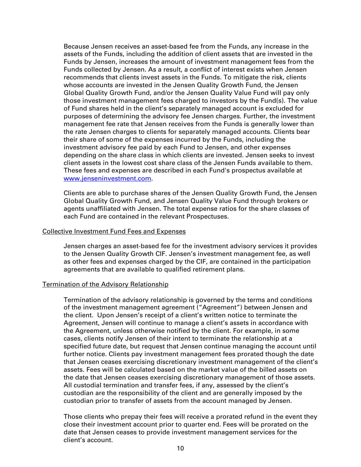Because Jensen receives an asset-based fee from the Funds, any increase in the assets of the Funds, including the addition of client assets that are invested in the Funds by Jensen, increases the amount of investment management fees from the Funds collected by Jensen. As a result, a conflict of interest exists when Jensen recommends that clients invest assets in the Funds. To mitigate the risk, clients whose accounts are invested in the Jensen Quality Growth Fund, the Jensen Global Quality Growth Fund, and/or the Jensen Quality Value Fund will pay only those investment management fees charged to investors by the Fund(s). The value of Fund shares held in the client's separately managed account is excluded for purposes of determining the advisory fee Jensen charges. Further, the investment management fee rate that Jensen receives from the Funds is generally lower than the rate Jensen charges to clients for separately managed accounts. Clients bear their share of some of the expenses incurred by the Funds, including the investment advisory fee paid by each Fund to Jensen, and other expenses depending on the share class in which clients are invested. Jensen seeks to invest client assets in the lowest cost share class of the Jensen Funds available to them. These fees and expenses are described in each Fund's prospectus available at www.jenseninvestment.com.

Clients are able to purchase shares of the Jensen Quality Growth Fund, the Jensen Global Quality Growth Fund, and Jensen Quality Value Fund through brokers or agents unaffiliated with Jensen. The total expense ratios for the share classes of each Fund are contained in the relevant Prospectuses.

#### Collective Investment Fund Fees and Expenses

Jensen charges an asset-based fee for the investment advisory services it provides to the Jensen Quality Growth CIF. Jensen's investment management fee, as well as other fees and expenses charged by the CIF, are contained in the participation agreements that are available to qualified retirement plans.

#### Termination of the Advisory Relationship

Termination of the advisory relationship is governed by the terms and conditions of the investment management agreement ("Agreement") between Jensen and the client. Upon Jensen's receipt of a client's written notice to terminate the Agreement, Jensen will continue to manage a client's assets in accordance with the Agreement, unless otherwise notified by the client. For example, in some cases, clients notify Jensen of their intent to terminate the relationship at a specified future date, but request that Jensen continue managing the account until further notice. Clients pay investment management fees prorated though the date that Jensen ceases exercising discretionary investment management of the client's assets. Fees will be calculated based on the market value of the billed assets on the date that Jensen ceases exercising discretionary management of those assets. All custodial termination and transfer fees, if any, assessed by the client's custodian are the responsibility of the client and are generally imposed by the custodian prior to transfer of assets from the account managed by Jensen.

Those clients who prepay their fees will receive a prorated refund in the event they close their investment account prior to quarter end. Fees will be prorated on the date that Jensen ceases to provide investment management services for the client's account.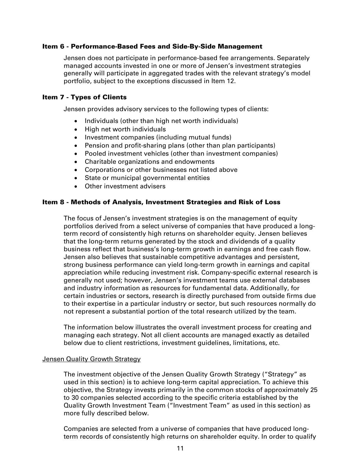### Item 6 - Performance-Based Fees and Side-By-Side Management

Jensen does not participate in performance-based fee arrangements. Separately managed accounts invested in one or more of Jensen's investment strategies generally will participate in aggregated trades with the relevant strategy's model portfolio, subject to the exceptions discussed in Item 12.

### Item 7 - Types of Clients

Jensen provides advisory services to the following types of clients:

- Individuals (other than high net worth individuals)
- High net worth individuals
- Investment companies (including mutual funds)
- Pension and profit-sharing plans (other than plan participants)
- Pooled investment vehicles (other than investment companies)
- Charitable organizations and endowments
- Corporations or other businesses not listed above
- State or municipal governmental entities
- Other investment advisers

### Item 8 - Methods of Analysis, Investment Strategies and Risk of Loss

The focus of Jensen's investment strategies is on the management of equity portfolios derived from a select universe of companies that have produced a longterm record of consistently high returns on shareholder equity. Jensen believes that the long-term returns generated by the stock and dividends of a quality business reflect that business's long-term growth in earnings and free cash flow. Jensen also believes that sustainable competitive advantages and persistent, strong business performance can yield long-term growth in earnings and capital appreciation while reducing investment risk. Company-specific external research is generally not used; however, Jensen's investment teams use external databases and industry information as resources for fundamental data. Additionally, for certain industries or sectors, research is directly purchased from outside firms due to their expertise in a particular industry or sector, but such resources normally do not represent a substantial portion of the total research utilized by the team.

The information below illustrates the overall investment process for creating and managing each strategy. Not all client accounts are managed exactly as detailed below due to client restrictions, investment guidelines, limitations, etc.

#### **Jensen Quality Growth Strategy**

The investment objective of the Jensen Quality Growth Strategy ("Strategy" as used in this section) is to achieve long-term capital appreciation. To achieve this objective, the Strategy invests primarily in the common stocks of approximately 25 to 30 companies selected according to the specific criteria established by the Quality Growth Investment Team ("Investment Team" as used in this section) as more fully described below.

Companies are selected from a universe of companies that have produced longterm records of consistently high returns on shareholder equity. In order to qualify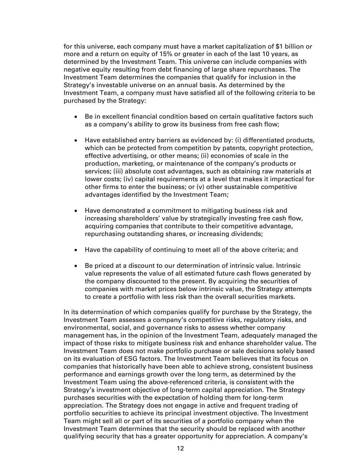for this universe, each company must have a market capitalization of \$1 billion or more and a return on equity of 15% or greater in each of the last 10 years, as determined by the Investment Team. This universe can include companies with negative equity resulting from debt financing of large share repurchases. The Investment Team determines the companies that qualify for inclusion in the Strategy's investable universe on an annual basis. As determined by the Investment Team, a company must have satisfied all of the following criteria to be purchased by the Strategy:

- Be in excellent financial condition based on certain qualitative factors such as a company's ability to grow its business from free cash flow;
- Have established entry barriers as evidenced by: (i) differentiated products, which can be protected from competition by patents, copyright protection, effective advertising, or other means; (ii) economies of scale in the production, marketing, or maintenance of the company's products or services; (iii) absolute cost advantages, such as obtaining raw materials at lower costs; (iv) capital requirements at a level that makes it impractical for other firms to enter the business; or  $(v)$  other sustainable competitive advantages identified by the Investment Team;
- Have demonstrated a commitment to mitigating business risk and increasing shareholders' value by strategically investing free cash flow, acquiring companies that contribute to their competitive advantage, repurchasing outstanding shares, or increasing dividends;
- Have the capability of continuing to meet all of the above criteria; and
- Be priced at a discount to our determination of intrinsic value. Intrinsic value represents the value of all estimated future cash flows generated by the company discounted to the present. By acquiring the securities of companies with market prices below intrinsic value, the Strategy attempts to create a portfolio with less risk than the overall securities markets.

In its determination of which companies qualify for purchase by the Strategy, the Investment Team assesses a company's competitive risks, regulatory risks, and environmental, social, and governance risks to assess whether company management has, in the opinion of the Investment Team, adequately managed the impact of those risks to mitigate business risk and enhance shareholder value. The Investment Team does not make portfolio purchase or sale decisions solely based on its evaluation of ESG factors. The Investment Team believes that its focus on companies that historically have been able to achieve strong, consistent business performance and earnings growth over the long term, as determined by the Investment Team using the above-referenced criteria, is consistent with the Strategy's investment objective of long-term capital appreciation. The Strategy purchases securities with the expectation of holding them for long-term appreciation. The Strategy does not engage in active and frequent trading of portfolio securities to achieve its principal investment objective. The Investment Team might sell all or part of its securities of a portfolio company when the Investment Team determines that the security should be replaced with another qualifying security that has a greater opportunity for appreciation. A company's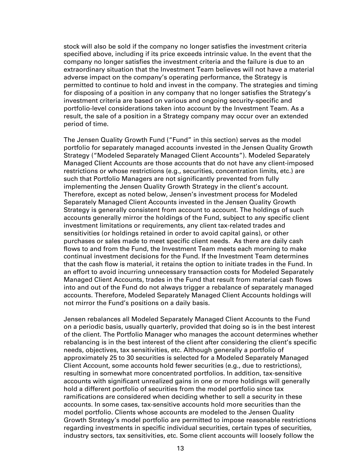stock will also be sold if the company no longer satisfies the investment criteria specified above, including if its price exceeds intrinsic value. In the event that the company no longer satisfies the investment criteria and the failure is due to an extraordinary situation that the Investment Team believes will not have a material adverse impact on the company's operating performance, the Strategy is permitted to continue to hold and invest in the company. The strategies and timing for disposing of a position in any company that no longer satisfies the Strategy's investment criteria are based on various and ongoing security-specific and portfolio-level considerations taken into account by the Investment Team. As a result, the sale of a position in a Strategy company may occur over an extended period of time.

The Jensen Quality Growth Fund ("Fund" in this section) serves as the model portfolio for separately managed accounts invested in the Jensen Quality Growth Strategy ("Modeled Separately Managed Client Accounts"). Modeled Separately Managed Client Accounts are those accounts that do not have any client-imposed restrictions or whose restrictions (e.g., securities, concentration limits, etc.) are such that Portfolio Managers are not significantly prevented from fully implementing the Jensen Quality Growth Strategy in the client's account. Therefore, except as noted below, Jensen's investment process for Modeled Separately Managed Client Accounts invested in the Jensen Quality Growth Strategy is generally consistent from account to account. The holdings of such accounts generally mirror the holdings of the Fund, subject to any specific client investment limitations or requirements, any client tax-related trades and sensitivities (or holdings retained in order to avoid capital gains), or other purchases or sales made to meet specific client needs. As there are daily cash flows to and from the Fund, the Investment Team meets each morning to make continual investment decisions for the Fund. If the Investment Team determines that the cash flow is material, it retains the option to initiate trades in the Fund. In an effort to avoid incurring unnecessary transaction costs for Modeled Separately Managed Client Accounts, trades in the Fund that result from material cash flows into and out of the Fund do not always trigger a rebalance of separately managed accounts. Therefore, Modeled Separately Managed Client Accounts holdings will not mirror the Fund's positions on a daily basis.

Jensen rebalances all Modeled Separately Managed Client Accounts to the Fund on a periodic basis, usually quarterly, provided that doing so is in the best interest of the client. The Portfolio Manager who manages the account determines whether rebalancing is in the best interest of the client after considering the client's specific needs, objectives, tax sensitivities, etc. Although generally a portfolio of approximately 25 to 30 securities is selected for a Modeled Separately Managed Client Account, some accounts hold fewer securities (e.g., due to restrictions), resulting in somewhat more concentrated portfolios. In addition, tax-sensitive accounts with significant unrealized gains in one or more holdings will generally hold a different portfolio of securities from the model portfolio since tax ramifications are considered when deciding whether to sell a security in these accounts. In some cases, tax-sensitive accounts hold more securities than the model portfolio. Clients whose accounts are modeled to the Jensen Quality Growth Strategy's model portfolio are permitted to impose reasonable restrictions regarding investments in specific individual securities, certain types of securities, industry sectors, tax sensitivities, etc. Some client accounts will loosely follow the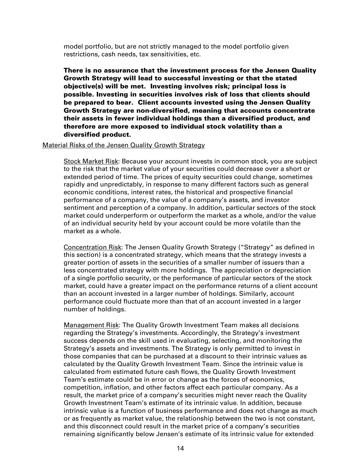model portfolio, but are not strictly managed to the model portfolio given restrictions, cash needs, tax sensitivities, etc.

There is no assurance that the investment process for the Jensen Quality Growth Strategy will lead to successful investing or that the stated objective(s) will be met. Investing involves risk; principal loss is possible. Investing in securities involves risk of loss that clients should be prepared to bear. Client accounts invested using the Jensen Quality Growth Strategy are non-diversified, meaning that accounts concentrate their assets in fewer individual holdings than a diversified product, and therefore are more exposed to individual stock volatility than a diversified product.

#### Material Risks of the Jensen Quality Growth Strategy

Stock Market Risk: Because your account invests in common stock, you are subject to the risk that the market value of your securities could decrease over a short or extended period of time. The prices of equity securities could change, sometimes rapidly and unpredictably, in response to many different factors such as general economic conditions, interest rates, the historical and prospective financial performance of a company, the value of a company's assets, and investor sentiment and perception of a company. In addition, particular sectors of the stock market could underperform or outperform the market as a whole, and/or the value of an individual security held by your account could be more volatile than the market as a whole.

Concentration Risk: The Jensen Quality Growth Strategy ("Strategy" as defined in this section) is a concentrated strategy, which means that the strategy invests a greater portion of assets in the securities of a smaller number of issuers than a less concentrated strategy with more holdings. The appreciation or depreciation of a single portfolio security, or the performance of particular sectors of the stock market, could have a greater impact on the performance returns of a client account than an account invested in a larger number of holdings. Similarly, account performance could fluctuate more than that of an account invested in a larger number of holdings.

Management Risk: The Quality Growth Investment Team makes all decisions regarding the Strategy's investments. Accordingly, the Strategy's investment success depends on the skill used in evaluating, selecting, and monitoring the Strategy's assets and investments. The Strategy is only permitted to invest in those companies that can be purchased at a discount to their intrinsic values as calculated by the Quality Growth Investment Team. Since the intrinsic value is calculated from estimated future cash flows, the Quality Growth Investment Team's estimate could be in error or change as the forces of economics, competition, inflation, and other factors affect each particular company. As a result, the market price of a company's securities might never reach the Quality Growth Investment Team's estimate of its intrinsic value. In addition, because intrinsic value is a function of business performance and does not change as much or as frequently as market value, the relationship between the two is not constant, and this disconnect could result in the market price of a company's securities remaining significantly below Jensen's estimate of its intrinsic value for extended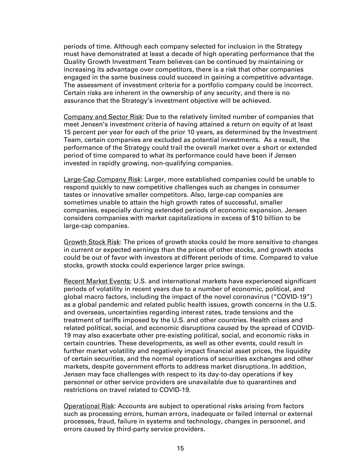periods of time. Although each company selected for inclusion in the Strategy must have demonstrated at least a decade of high operating performance that the Quality Growth Investment Team believes can be continued by maintaining or increasing its advantage over competitors, there is a risk that other companies engaged in the same business could succeed in gaining a competitive advantage. The assessment of investment criteria for a portfolio company could be incorrect. Certain risks are inherent in the ownership of any security, and there is no assurance that the Strategy's investment objective will be achieved.

Company and Sector Risk: Due to the relatively limited number of companies that meet Jensen's investment criteria of having attained a return on equity of at least 15 percent per year for each of the prior 10 years, as determined by the Investment Team, certain companies are excluded as potential investments. As a result, the performance of the Strategy could trail the overall market over a short or extended period of time compared to what its performance could have been if Jensen invested in rapidly growing, non-qualifying companies.

Large-Cap Company Risk: Larger, more established companies could be unable to respond quickly to new competitive challenges such as changes in consumer tastes or innovative smaller competitors. Also, large-cap companies are sometimes unable to attain the high growth rates of successful, smaller companies, especially during extended periods of economic expansion. Jensen considers companies with market capitalizations in excess of \$10 billion to be large-cap companies.

Growth Stock Risk: The prices of growth stocks could be more sensitive to changes in current or expected earnings than the prices of other stocks, and growth stocks could be out of favor with investors at different periods of time. Compared to value stocks, growth stocks could experience larger price swings.

Recent Market Events: U.S. and international markets have experienced significant periods of volatility in recent years due to a number of economic, political, and global macro factors, including the impact of the novel coronavirus ("COVID-19") as a global pandemic and related public health issues, growth concerns in the U.S. and overseas, uncertainties regarding interest rates, trade tensions and the treatment of tariffs imposed by the U.S. and other countries. Health crises and related political, social, and economic disruptions caused by the spread of COVID-19 may also exacerbate other pre-existing political, social, and economic risks in certain countries. These developments, as well as other events, could result in further market volatility and negatively impact financial asset prices, the liquidity of certain securities, and the normal operations of securities exchanges and other markets, despite government efforts to address market disruptions. In addition, Jensen may face challenges with respect to its day-to-day operations if key personnel or other service providers are unavailable due to quarantines and restrictions on travel related to COVID-19.

Operational Risk: Accounts are subject to operational risks arising from factors such as processing errors, human errors, inadequate or failed internal or external processes, fraud, failure in systems and technology, changes in personnel, and errors caused by third-party service providers.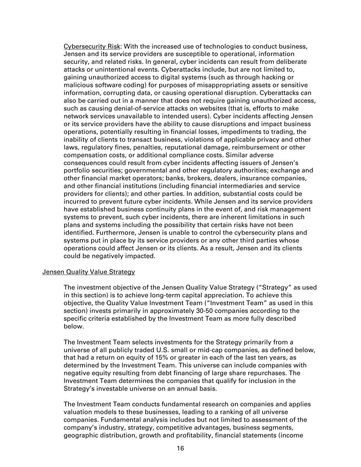Cybersecurity Risk: With the increased use of technologies to conduct business, Jensen and its service providers are susceptible to operational, information security, and related risks. In general, cyber incidents can result from deliberate attacks or unintentional events. Cyberattacks include, but are not limited to, gaining unauthorized access to digital systems (such as through hacking or malicious software coding) for purposes of misappropriating assets or sensitive information, corrupting data, or causing operational disruption. Cyberattacks can also be carried out in a manner that does not require gaining unauthorized access, such as causing denial-of-service attacks on websites (that is, efforts to make network services unavailable to intended users). Cyber incidents affecting Jensen or its service providers have the ability to cause disruptions and impact business operations, potentially resulting in financial losses, impediments to trading, the inability of clients to transact business, violations of applicable privacy and other laws, regulatory fines, penalties, reputational damage, reimbursement or other compensation costs, or additional compliance costs. Similar adverse consequences could result from cyber incidents affecting issuers of Jensen's portfolio securities; governmental and other regulatory authorities; exchange and other financial market operators; banks, brokers, dealers, insurance companies, and other financial institutions (including financial intermediaries and service providers for clients); and other parties. In addition, substantial costs could be incurred to prevent future cyber incidents. While Jensen and its service providers have established business continuity plans in the event of, and risk management systems to prevent, such cyber incidents, there are inherent limitations in such plans and systems including the possibility that certain risks have not been identified. Furthermore, Jensen is unable to control the cybersecurity plans and systems put in place by its service providers or any other third parties whose operations could affect Jensen or its clients. As a result, Jensen and its clients could be negatively impacted.

#### Jensen Quality Value Strategy

The investment objective of the Jensen Quality Value Strategy ("Strategy" as used in this section) is to achieve long-term capital appreciation. To achieve this objective, the Quality Value Investment Team ("Investment Team" as used in this section) invests primarily in approximately 30-50 companies according to the specific criteria established by the Investment Team as more fully described below.

The Investment Team selects investments for the Strategy primarily from a universe of all publicly traded U.S. small or mid-cap companies, as defined below, that had a return on equity of 15% or greater in each of the last ten years, as determined by the Investment Team. This universe can include companies with negative equity resulting from debt financing of large share repurchases. The Investment Team determines the companies that qualify for inclusion in the Strategy's investable universe on an annual basis.

The Investment Team conducts fundamental research on companies and applies valuation models to these businesses, leading to a ranking of all universe companies. Fundamental analysis includes but not limited to assessment of the company's industry, strategy, competitive advantages, business segments, geographic distribution, growth and profitability, financial statements (income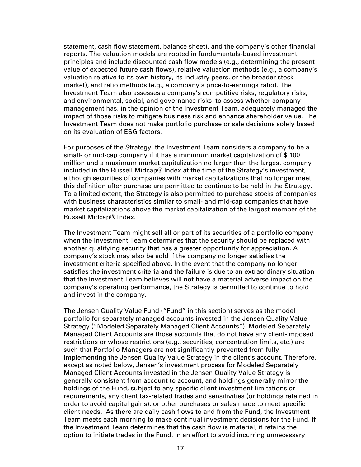statement, cash flow statement, balance sheet), and the company's other financial reports. The valuation models are rooted in fundamentals-based investment principles and include discounted cash flow models (e.g., determining the present value of expected future cash flows), relative valuation methods (e.g., a company's valuation relative to its own history, its industry peers, or the broader stock market), and ratio methods (e.g., a company's price-to-earnings ratio). The Investment Team also assesses a company's competitive risks, regulatory risks, and environmental, social, and governance risks to assess whether company management has, in the opinion of the Investment Team, adequately managed the impact of those risks to mitigate business risk and enhance shareholder value. The Investment Team does not make portfolio purchase or sale decisions solely based on its evaluation of ESG factors.

For purposes of the Strategy, the Investment Team considers a company to be a small- or mid-cap company if it has a minimum market capitalization of \$ 100 million and a maximum market capitalization no larger than the largest company included in the Russell Midcap® Index at the time of the Strategy's investment, although securities of companies with market capitalizations that no longer meet this definition after purchase are permitted to continue to be held in the Strategy. To a limited extent, the Strategy is also permitted to purchase stocks of companies with business characteristics similar to small- and mid-cap companies that have market capitalizations above the market capitalization of the largest member of the Russell Midcap® Index.

The Investment Team might sell all or part of its securities of a portfolio company when the Investment Team determines that the security should be replaced with another qualifying security that has a greater opportunity for appreciation. A company's stock may also be sold if the company no longer satisfies the investment criteria specified above. In the event that the company no longer satisfies the investment criteria and the failure is due to an extraordinary situation that the Investment Team believes will not have a material adverse impact on the company's operating performance, the Strategy is permitted to continue to hold and invest in the company.

The Jensen Quality Value Fund ("Fund" in this section) serves as the model portfolio for separately managed accounts invested in the Jensen Quality Value Strategy ("Modeled Separately Managed Client Accounts"). Modeled Separately Managed Client Accounts are those accounts that do not have any client-imposed restrictions or whose restrictions (e.g., securities, concentration limits, etc.) are such that Portfolio Managers are not significantly prevented from fully implementing the Jensen Quality Value Strategy in the client's account. Therefore, except as noted below, Jensen's investment process for Modeled Separately Managed Client Accounts invested in the Jensen Quality Value Strategy is generally consistent from account to account, and holdings generally mirror the holdings of the Fund, subject to any specific client investment limitations or requirements, any client tax-related trades and sensitivities (or holdings retained in order to avoid capital gains), or other purchases or sales made to meet specific client needs. As there are daily cash flows to and from the Fund, the Investment Team meets each morning to make continual investment decisions for the Fund. If the Investment Team determines that the cash flow is material, it retains the option to initiate trades in the Fund. In an effort to avoid incurring unnecessary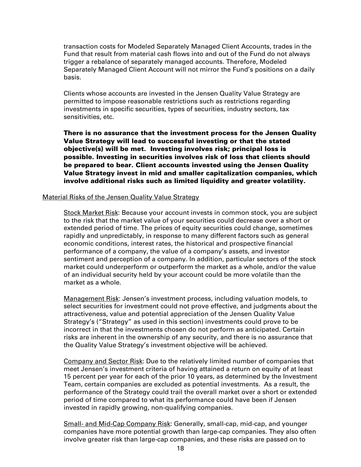transaction costs for Modeled Separately Managed Client Accounts, trades in the Fund that result from material cash flows into and out of the Fund do not always trigger a rebalance of separately managed accounts. Therefore, Modeled Separately Managed Client Account will not mirror the Fund's positions on a daily basis.

Clients whose accounts are invested in the Jensen Quality Value Strategy are permitted to impose reasonable restrictions such as restrictions regarding investments in specific securities, types of securities, industry sectors, tax sensitivities, etc.

There is no assurance that the investment process for the Jensen Quality Value Strategy will lead to successful investing or that the stated objective(s) will be met. Investing involves risk; principal loss is possible. Investing in securities involves risk of loss that clients should be prepared to bear. Client accounts invested using the Jensen Quality Value Strategy invest in mid and smaller capitalization companies, which involve additional risks such as limited liquidity and greater volatility.

### Material Risks of the Jensen Quality Value Strategy

Stock Market Risk: Because your account invests in common stock, you are subject to the risk that the market value of your securities could decrease over a short or extended period of time. The prices of equity securities could change, sometimes rapidly and unpredictably, in response to many different factors such as general economic conditions, interest rates, the historical and prospective financial performance of a company, the value of a company's assets, and investor sentiment and perception of a company. In addition, particular sectors of the stock market could underperform or outperform the market as a whole, and/or the value of an individual security held by your account could be more volatile than the market as a whole.

Management Risk: Jensen's investment process, including valuation models, to select securities for investment could not prove effective, and judgments about the attractiveness, value and potential appreciation of the Jensen Quality Value Strategy's ("Strategy" as used in this section) investments could prove to be incorrect in that the investments chosen do not perform as anticipated. Certain risks are inherent in the ownership of any security, and there is no assurance that the Quality Value Strategy's investment objective will be achieved.

Company and Sector Risk: Due to the relatively limited number of companies that meet Jensen's investment criteria of having attained a return on equity of at least 15 percent per year for each of the prior 10 years, as determined by the Investment Team, certain companies are excluded as potential investments. As a result, the performance of the Strategy could trail the overall market over a short or extended period of time compared to what its performance could have been if Jensen invested in rapidly growing, non-qualifying companies.

Small- and Mid-Cap Company Risk: Generally, small-cap, mid-cap, and younger companies have more potential growth than large-cap companies. They also often involve greater risk than large-cap companies, and these risks are passed on to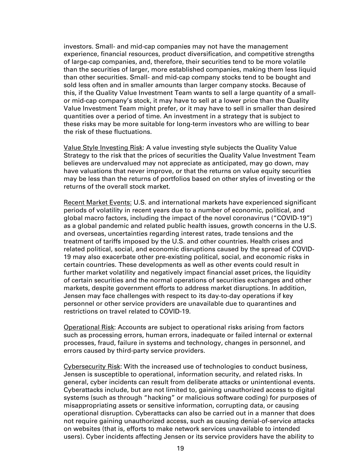investors. Small- and mid-cap companies may not have the management experience, financial resources, product diversification, and competitive strengths of large-cap companies, and, therefore, their securities tend to be more volatile than the securities of larger, more established companies, making them less liquid than other securities. Small- and mid-cap company stocks tend to be bought and sold less often and in smaller amounts than larger company stocks. Because of this, if the Quality Value Investment Team wants to sell a large quantity of a smallor mid-cap company's stock, it may have to sell at a lower price than the Quality Value Investment Team might prefer, or it may have to sell in smaller than desired quantities over a period of time. An investment in a strategy that is subject to these risks may be more suitable for long-term investors who are willing to bear the risk of these fluctuations.

Value Style Investing Risk: A value investing style subjects the Quality Value Strategy to the risk that the prices of securities the Quality Value Investment Team believes are undervalued may not appreciate as anticipated, may go down, may have valuations that never improve, or that the returns on value equity securities may be less than the returns of portfolios based on other styles of investing or the returns of the overall stock market.

Recent Market Events: U.S. and international markets have experienced significant periods of volatility in recent years due to a number of economic, political, and global macro factors, including the impact of the novel coronavirus ("COVID-19") as a global pandemic and related public health issues, growth concerns in the U.S. and overseas, uncertainties regarding interest rates, trade tensions and the treatment of tariffs imposed by the U.S. and other countries. Health crises and related political, social, and economic disruptions caused by the spread of COVID-19 may also exacerbate other pre-existing political, social, and economic risks in certain countries. These developments as well as other events could result in further market volatility and negatively impact financial asset prices, the liquidity of certain securities and the normal operations of securities exchanges and other markets, despite government efforts to address market disruptions. In addition, Jensen may face challenges with respect to its day-to-day operations if key personnel or other service providers are unavailable due to quarantines and restrictions on travel related to COVID-19.

**Operational Risk:** Accounts are subject to operational risks arising from factors such as processing errors, human errors, inadequate or failed internal or external processes, fraud, failure in systems and technology, changes in personnel, and errors caused by third-party service providers.

Cybersecurity Risk: With the increased use of technologies to conduct business, Jensen is susceptible to operational, information security, and related risks. In general, cyber incidents can result from deliberate attacks or unintentional events. Cyberattacks include, but are not limited to, gaining unauthorized access to digital systems (such as through "hacking" or malicious software coding) for purposes of misappropriating assets or sensitive information, corrupting data, or causing operational disruption. Cyberattacks can also be carried out in a manner that does not require gaining unauthorized access, such as causing denial-of-service attacks on websites (that is, efforts to make network services unavailable to intended users). Cyber incidents affecting Jensen or its service providers have the ability to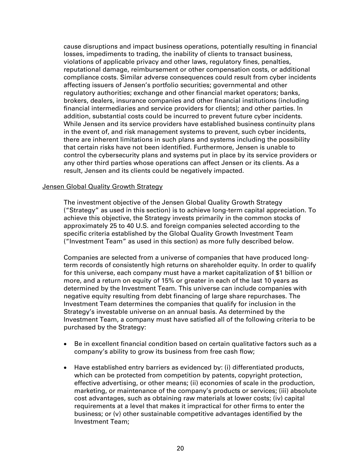cause disruptions and impact business operations, potentially resulting in financial losses, impediments to trading, the inability of clients to transact business, violations of applicable privacy and other laws, regulatory fines, penalties, reputational damage, reimbursement or other compensation costs, or additional compliance costs. Similar adverse consequences could result from cyber incidents affecting issuers of Jensen's portfolio securities; governmental and other regulatory authorities; exchange and other financial market operators; banks, brokers, dealers, insurance companies and other financial institutions (including financial intermediaries and service providers for clients); and other parties. In addition, substantial costs could be incurred to prevent future cyber incidents. While Jensen and its service providers have established business continuity plans in the event of, and risk management systems to prevent, such cyber incidents, there are inherent limitations in such plans and systems including the possibility that certain risks have not been identified. Furthermore, Jensen is unable to control the cybersecurity plans and systems put in place by its service providers or any other third parties whose operations can affect Jensen or its clients. As a result, Jensen and its clients could be negatively impacted.

### Jensen Global Quality Growth Strategy

The investment objective of the Jensen Global Quality Growth Strategy ("Strategy" as used in this section) is to achieve long-term capital appreciation. To achieve this objective, the Strategy invests primarily in the common stocks of approximately 25 to 40 U.S. and foreign companies selected according to the specific criteria established by the Global Quality Growth Investment Team ("Investment Team" as used in this section) as more fully described below.

Companies are selected from a universe of companies that have produced longterm records of consistently high returns on shareholder equity. In order to qualify for this universe, each company must have a market capitalization of \$1 billion or more, and a return on equity of 15% or greater in each of the last 10 years as determined by the Investment Team. This universe can include companies with negative equity resulting from debt financing of large share repurchases. The Investment Team determines the companies that qualify for inclusion in the Strategy's investable universe on an annual basis. As determined by the Investment Team, a company must have satisfied all of the following criteria to be purchased by the Strategy:

- Be in excellent financial condition based on certain qualitative factors such as a company's ability to grow its business from free cash flow;
- Have established entry barriers as evidenced by: (i) differentiated products, which can be protected from competition by patents, copyright protection, effective advertising, or other means; (ii) economies of scale in the production, marketing, or maintenance of the company's products or services; (iii) absolute cost advantages, such as obtaining raw materials at lower costs; (iv) capital requirements at a level that makes it impractical for other firms to enter the business; or (v) other sustainable competitive advantages identified by the Investment Team;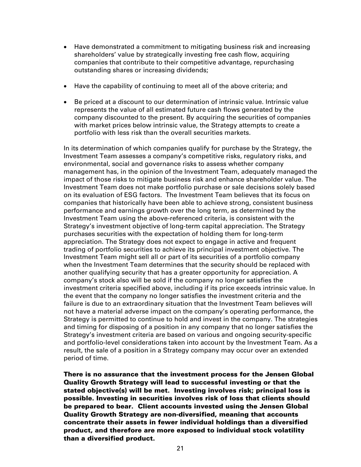- Have demonstrated a commitment to mitigating business risk and increasing shareholders' value by strategically investing free cash flow, acquiring companies that contribute to their competitive advantage, repurchasing outstanding shares or increasing dividends;
- Have the capability of continuing to meet all of the above criteria; and
- Be priced at a discount to our determination of intrinsic value. Intrinsic value represents the value of all estimated future cash flows generated by the company discounted to the present. By acquiring the securities of companies with market prices below intrinsic value, the Strategy attempts to create a portfolio with less risk than the overall securities markets.

In its determination of which companies qualify for purchase by the Strategy, the Investment Team assesses a company's competitive risks, regulatory risks, and environmental, social and governance risks to assess whether company management has, in the opinion of the Investment Team, adequately managed the impact of those risks to mitigate business risk and enhance shareholder value. The Investment Team does not make portfolio purchase or sale decisions solely based on its evaluation of ESG factors. The Investment Team believes that its focus on companies that historically have been able to achieve strong, consistent business performance and earnings growth over the long term, as determined by the Investment Team using the above-referenced criteria, is consistent with the Strategy's investment objective of long-term capital appreciation. The Strategy purchases securities with the expectation of holding them for long-term appreciation. The Strategy does not expect to engage in active and frequent trading of portfolio securities to achieve its principal investment objective. The Investment Team might sell all or part of its securities of a portfolio company when the Investment Team determines that the security should be replaced with another qualifying security that has a greater opportunity for appreciation. A company's stock also will be sold if the company no longer satisfies the investment criteria specified above, including if its price exceeds intrinsic value. In the event that the company no longer satisfies the investment criteria and the failure is due to an extraordinary situation that the Investment Team believes will not have a material adverse impact on the company's operating performance, the Strategy is permitted to continue to hold and invest in the company. The strategies and timing for disposing of a position in any company that no longer satisfies the Strategy's investment criteria are based on various and ongoing security-specific and portfolio-level considerations taken into account by the Investment Team. As a result, the sale of a position in a Strategy company may occur over an extended period of time.

There is no assurance that the investment process for the Jensen Global Quality Growth Strategy will lead to successful investing or that the stated objective(s) will be met. Investing involves risk; principal loss is possible. Investing in securities involves risk of loss that clients should be prepared to bear. Client accounts invested using the Jensen Global Quality Growth Strategy are non-diversified, meaning that accounts concentrate their assets in fewer individual holdings than a diversified product, and therefore are more exposed to individual stock volatility than a diversified product.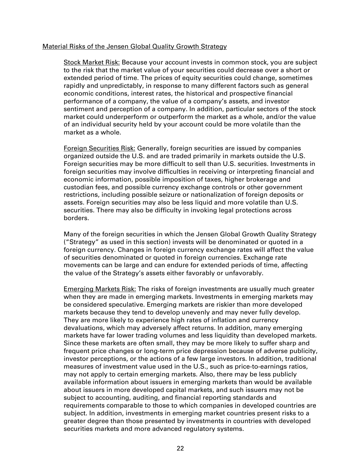### Material Risks of the Jensen Global Quality Growth Strategy

Stock Market Risk: Because your account invests in common stock, you are subject to the risk that the market value of your securities could decrease over a short or extended period of time. The prices of equity securities could change, sometimes rapidly and unpredictably, in response to many different factors such as general economic conditions, interest rates, the historical and prospective financial performance of a company, the value of a company's assets, and investor sentiment and perception of a company. In addition, particular sectors of the stock market could underperform or outperform the market as a whole, and/or the value of an individual security held by your account could be more volatile than the market as a whole.

Foreign Securities Risk: Generally, foreign securities are issued by companies organized outside the U.S. and are traded primarily in markets outside the U.S. Foreign securities may be more difficult to sell than U.S. securities. Investments in foreign securities may involve difficulties in receiving or interpreting financial and economic information, possible imposition of taxes, higher brokerage and custodian fees, and possible currency exchange controls or other government restrictions, including possible seizure or nationalization of foreign deposits or assets. Foreign securities may also be less liquid and more volatile than U.S. securities. There may also be difficulty in invoking legal protections across borders.

Many of the foreign securities in which the Jensen Global Growth Quality Strategy ("Strategy" as used in this section) invests will be denominated or quoted in a foreign currency. Changes in foreign currency exchange rates will affect the value of securities denominated or quoted in foreign currencies. Exchange rate movements can be large and can endure for extended periods of time, affecting the value of the Strategy's assets either favorably or unfavorably.

Emerging Markets Risk: The risks of foreign investments are usually much greater when they are made in emerging markets. Investments in emerging markets may be considered speculative. Emerging markets are riskier than more developed markets because they tend to develop unevenly and may never fully develop. They are more likely to experience high rates of inflation and currency devaluations, which may adversely affect returns. In addition, many emerging markets have far lower trading volumes and less liquidity than developed markets. Since these markets are often small, they may be more likely to suffer sharp and frequent price changes or long-term price depression because of adverse publicity, investor perceptions, or the actions of a few large investors. In addition, traditional measures of investment value used in the U.S., such as price-to-earnings ratios, may not apply to certain emerging markets. Also, there may be less publicly available information about issuers in emerging markets than would be available about issuers in more developed capital markets, and such issuers may not be subject to accounting, auditing, and financial reporting standards and requirements comparable to those to which companies in developed countries are subject. In addition, investments in emerging market countries present risks to a greater degree than those presented by investments in countries with developed securities markets and more advanced regulatory systems.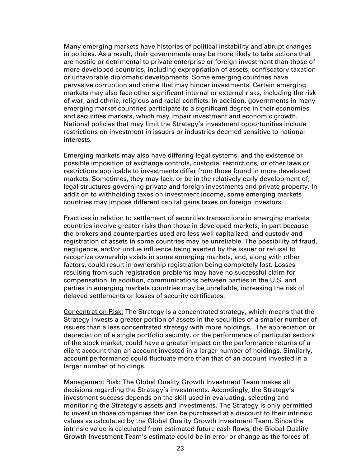Many emerging markets have histories of political instability and abrupt changes in policies. As a result, their governments may be more likely to take actions that are hostile or detrimental to private enterprise or foreign investment than those of more developed countries, including expropriation of assets, confiscatory taxation or unfavorable diplomatic developments. Some emerging countries have pervasive corruption and crime that may hinder investments. Certain emerging markets may also face other significant internal or external risks, including the risk of war, and ethnic, religious and racial conflicts. In addition, governments in many emerging market countries participate to a significant degree in their economies and securities markets, which may impair investment and economic growth. National policies that may limit the Strategy's investment opportunities include restrictions on investment in issuers or industries deemed sensitive to national interests.

Emerging markets may also have differing legal systems, and the existence or possible imposition of exchange controls, custodial restrictions, or other laws or restrictions applicable to investments differ from those found in more developed markets. Sometimes, they may lack, or be in the relatively early development of, legal structures governing private and foreign investments and private property. In addition to withholding taxes on investment income, some emerging markets countries may impose different capital gains taxes on foreign investors.

Practices in relation to settlement of securities transactions in emerging markets countries involve greater risks than those in developed markets, in part because the brokers and counterparties used are less well capitalized, and custody and registration of assets in some countries may be unreliable. The possibility of fraud, negligence, and/or undue influence being exerted by the issuer or refusal to recognize ownership exists in some emerging markets, and, along with other factors, could result in ownership registration being completely lost. Losses resulting from such registration problems may have no successful claim for compensation. In addition, communications between parties in the U.S. and parties in emerging markets countries may be unreliable, increasing the risk of delayed settlements or losses of security certificates.

Concentration Risk: The Strategy is a concentrated strategy, which means that the Strategy invests a greater portion of assets in the securities of a smaller number of issuers than a less concentrated strategy with more holdings. The appreciation or depreciation of a single portfolio security, or the performance of particular sectors of the stock market, could have a greater impact on the performance returns of a client account than an account invested in a larger number of holdings. Similarly, account performance could fluctuate more than that of an account invested in a larger number of holdings.

**Management Risk: The Global Quality Growth Investment Team makes all** decisions regarding the Strategy's investments. Accordingly, the Strategy's investment success depends on the skill used in evaluating, selecting and monitoring the Strategy's assets and investments. The Strategy is only permitted to invest in those companies that can be purchased at a discount to their intrinsic values as calculated by the Global Quality Growth Investment Team. Since the intrinsic value is calculated from estimated future cash flows, the Global Quality Growth Investment Team's estimate could be in error or change as the forces of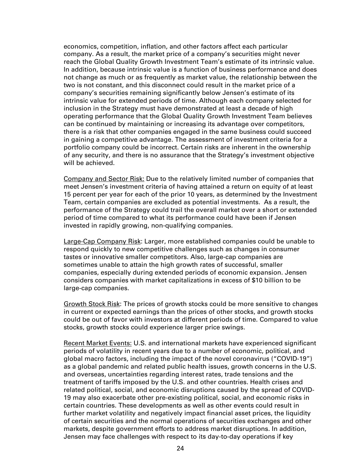economics, competition, inflation, and other factors affect each particular company. As a result, the market price of a company's securities might never reach the Global Quality Growth Investment Team's estimate of its intrinsic value. In addition, because intrinsic value is a function of business performance and does not change as much or as frequently as market value, the relationship between the two is not constant, and this disconnect could result in the market price of a company's securities remaining significantly below Jensen's estimate of its intrinsic value for extended periods of time. Although each company selected for inclusion in the Strategy must have demonstrated at least a decade of high operating performance that the Global Quality Growth Investment Team believes can be continued by maintaining or increasing its advantage over competitors, there is a risk that other companies engaged in the same business could succeed in gaining a competitive advantage. The assessment of investment criteria for a portfolio company could be incorrect. Certain risks are inherent in the ownership of any security, and there is no assurance that the Strategy's investment objective will be achieved.

Company and Sector Risk: Due to the relatively limited number of companies that meet Jensen's investment criteria of having attained a return on equity of at least 15 percent per year for each of the prior 10 years, as determined by the Investment Team, certain companies are excluded as potential investments. As a result, the performance of the Strategy could trail the overall market over a short or extended period of time compared to what its performance could have been if Jensen invested in rapidly growing, non-qualifying companies.

Large-Cap Company Risk: Larger, more established companies could be unable to respond quickly to new competitive challenges such as changes in consumer tastes or innovative smaller competitors. Also, large-cap companies are sometimes unable to attain the high growth rates of successful, smaller companies, especially during extended periods of economic expansion. Jensen considers companies with market capitalizations in excess of \$10 billion to be large-cap companies.

Growth Stock Risk: The prices of growth stocks could be more sensitive to changes in current or expected earnings than the prices of other stocks, and growth stocks could be out of favor with investors at different periods of time. Compared to value stocks, growth stocks could experience larger price swings.

Recent Market Events: U.S. and international markets have experienced significant periods of volatility in recent years due to a number of economic, political, and global macro factors, including the impact of the novel coronavirus ("COVID-19") as a global pandemic and related public health issues, growth concerns in the U.S. and overseas, uncertainties regarding interest rates, trade tensions and the treatment of tariffs imposed by the U.S. and other countries. Health crises and related political, social, and economic disruptions caused by the spread of COVID-19 may also exacerbate other pre-existing political, social, and economic risks in certain countries. These developments as well as other events could result in further market volatility and negatively impact financial asset prices, the liquidity of certain securities and the normal operations of securities exchanges and other markets, despite government efforts to address market disruptions. In addition, Jensen may face challenges with respect to its day-to-day operations if key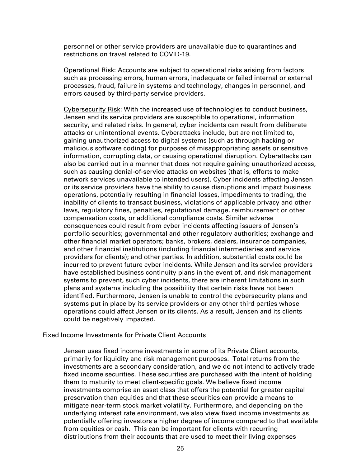personnel or other service providers are unavailable due to quarantines and restrictions on travel related to COVID-19.

Operational Risk: Accounts are subject to operational risks arising from factors such as processing errors, human errors, inadequate or failed internal or external processes, fraud, failure in systems and technology, changes in personnel, and errors caused by third-party service providers.

Cybersecurity Risk: With the increased use of technologies to conduct business, Jensen and its service providers are susceptible to operational, information security, and related risks. In general, cyber incidents can result from deliberate attacks or unintentional events. Cyberattacks include, but are not limited to, gaining unauthorized access to digital systems (such as through hacking or malicious software coding) for purposes of misappropriating assets or sensitive information, corrupting data, or causing operational disruption. Cyberattacks can also be carried out in a manner that does not require gaining unauthorized access, such as causing denial-of-service attacks on websites (that is, efforts to make network services unavailable to intended users). Cyber incidents affecting Jensen or its service providers have the ability to cause disruptions and impact business operations, potentially resulting in financial losses, impediments to trading, the inability of clients to transact business, violations of applicable privacy and other laws, regulatory fines, penalties, reputational damage, reimbursement or other compensation costs, or additional compliance costs. Similar adverse consequences could result from cyber incidents affecting issuers of Jensen's portfolio securities; governmental and other regulatory authorities; exchange and other financial market operators; banks, brokers, dealers, insurance companies, and other financial institutions (including financial intermediaries and service providers for clients); and other parties. In addition, substantial costs could be incurred to prevent future cyber incidents. While Jensen and its service providers have established business continuity plans in the event of, and risk management systems to prevent, such cyber incidents, there are inherent limitations in such plans and systems including the possibility that certain risks have not been identified. Furthermore, Jensen is unable to control the cybersecurity plans and systems put in place by its service providers or any other third parties whose operations could affect Jensen or its clients. As a result, Jensen and its clients could be negatively impacted.

#### Fixed Income Investments for Private Client Accounts

Jensen uses fixed income investments in some of its Private Client accounts, primarily for liquidity and risk management purposes. Total returns from the investments are a secondary consideration, and we do not intend to actively trade fixed income securities. These securities are purchased with the intent of holding them to maturity to meet client-specific goals. We believe fixed income investments comprise an asset class that offers the potential for greater capital preservation than equities and that these securities can provide a means to mitigate near-term stock market volatility. Furthermore, and depending on the underlying interest rate environment, we also view fixed income investments as potentially offering investors a higher degree of income compared to that available from equities or cash. This can be important for clients with recurring distributions from their accounts that are used to meet their living expenses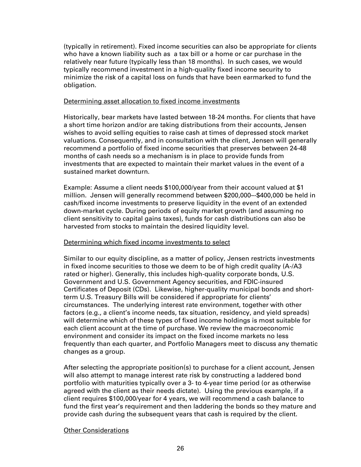(typically in retirement). Fixed income securities can also be appropriate for clients who have a known liability such as a tax bill or a home or car purchase in the relatively near future (typically less than 18 months). In such cases, we would typically recommend investment in a high-quality fixed income security to minimize the risk of a capital loss on funds that have been earmarked to fund the obligation.

### Determining asset allocation to fixed income investments

Historically, bear markets have lasted between 18-24 months. For clients that have a short time horizon and/or are taking distributions from their accounts, Jensen wishes to avoid selling equities to raise cash at times of depressed stock market valuations. Consequently, and in consultation with the client, Jensen will generally recommend a portfolio of fixed income securities that preserves between 24-48 months of cash needs so a mechanism is in place to provide funds from investments that are expected to maintain their market values in the event of a sustained market downturn.

Example: Assume a client needs \$100,000/year from their account valued at \$1 million. Jensen will generally recommend between \$200,000–-\$400,000 be held in cash/fixed income investments to preserve liquidity in the event of an extended down-market cycle. During periods of equity market growth (and assuming no client sensitivity to capital gains taxes), funds for cash distributions can also be harvested from stocks to maintain the desired liquidity level.

# Determining which fixed income investments to select

Similar to our equity discipline, as a matter of policy, Jensen restricts investments in fixed income securities to those we deem to be of high credit quality (A-/A3 rated or higher). Generally, this includes high-quality corporate bonds, U.S. Government and U.S. Government Agency securities, and FDIC-insured Certificates of Deposit (CDs). Likewise, higher-quality municipal bonds and shortterm U.S. Treasury Bills will be considered if appropriate for clients' circumstances. The underlying interest rate environment, together with other factors (e.g., a client's income needs, tax situation, residency, and yield spreads) will determine which of these types of fixed income holdings is most suitable for each client account at the time of purchase. We review the macroeconomic environment and consider its impact on the fixed income markets no less frequently than each quarter, and Portfolio Managers meet to discuss any thematic changes as a group.

After selecting the appropriate position(s) to purchase for a client account, Jensen will also attempt to manage interest rate risk by constructing a laddered bond portfolio with maturities typically over a 3- to 4-year time period (or as otherwise agreed with the client as their needs dictate). Using the previous example, if a client requires \$100,000/year for 4 years, we will recommend a cash balance to fund the first year's requirement and then laddering the bonds so they mature and provide cash during the subsequent years that cash is required by the client.

# Other Considerations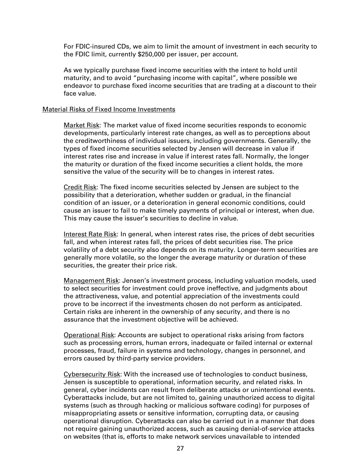For FDIC-insured CDs, we aim to limit the amount of investment in each security to the FDIC limit, currently \$250,000 per issuer, per account.

As we typically purchase fixed income securities with the intent to hold until maturity, and to avoid "purchasing income with capital", where possible we endeavor to purchase fixed income securities that are trading at a discount to their face value.

#### Material Risks of Fixed Income Investments

Market Risk: The market value of fixed income securities responds to economic developments, particularly interest rate changes, as well as to perceptions about the creditworthiness of individual issuers, including governments. Generally, the types of fixed income securities selected by Jensen will decrease in value if interest rates rise and increase in value if interest rates fall. Normally, the longer the maturity or duration of the fixed income securities a client holds, the more sensitive the value of the security will be to changes in interest rates.

Credit Risk: The fixed income securities selected by Jensen are subject to the possibility that a deterioration, whether sudden or gradual, in the financial condition of an issuer, or a deterioration in general economic conditions, could cause an issuer to fail to make timely payments of principal or interest, when due. This may cause the issuer's securities to decline in value.

Interest Rate Risk: In general, when interest rates rise, the prices of debt securities fall, and when interest rates fall, the prices of debt securities rise. The price volatility of a debt security also depends on its maturity. Longer-term securities are generally more volatile, so the longer the average maturity or duration of these securities, the greater their price risk.

Management Risk: Jensen's investment process, including valuation models, used to select securities for investment could prove ineffective, and judgments about the attractiveness, value, and potential appreciation of the investments could prove to be incorrect if the investments chosen do not perform as anticipated. Certain risks are inherent in the ownership of any security, and there is no assurance that the investment objective will be achieved.

Operational Risk: Accounts are subject to operational risks arising from factors such as processing errors, human errors, inadequate or failed internal or external processes, fraud, failure in systems and technology, changes in personnel, and errors caused by third-party service providers.

Cybersecurity Risk: With the increased use of technologies to conduct business, Jensen is susceptible to operational, information security, and related risks. In general, cyber incidents can result from deliberate attacks or unintentional events. Cyberattacks include, but are not limited to, gaining unauthorized access to digital systems (such as through hacking or malicious software coding) for purposes of misappropriating assets or sensitive information, corrupting data, or causing operational disruption. Cyberattacks can also be carried out in a manner that does not require gaining unauthorized access, such as causing denial-of-service attacks on websites (that is, efforts to make network services unavailable to intended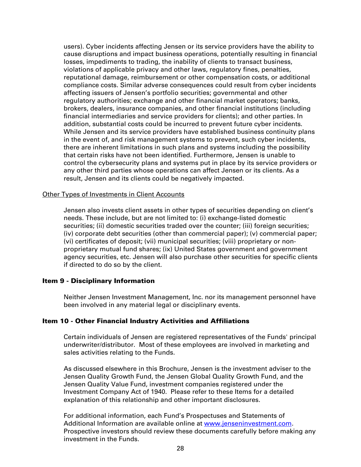users). Cyber incidents affecting Jensen or its service providers have the ability to cause disruptions and impact business operations, potentially resulting in financial losses, impediments to trading, the inability of clients to transact business, violations of applicable privacy and other laws, regulatory fines, penalties, reputational damage, reimbursement or other compensation costs, or additional compliance costs. Similar adverse consequences could result from cyber incidents affecting issuers of Jensen's portfolio securities; governmental and other regulatory authorities; exchange and other financial market operators; banks, brokers, dealers, insurance companies, and other financial institutions (including financial intermediaries and service providers for clients); and other parties. In addition, substantial costs could be incurred to prevent future cyber incidents. While Jensen and its service providers have established business continuity plans in the event of, and risk management systems to prevent, such cyber incidents, there are inherent limitations in such plans and systems including the possibility that certain risks have not been identified. Furthermore, Jensen is unable to control the cybersecurity plans and systems put in place by its service providers or any other third parties whose operations can affect Jensen or its clients. As a result, Jensen and its clients could be negatively impacted.

#### Other Types of Investments in Client Accounts

Jensen also invests client assets in other types of securities depending on client's needs. These include, but are not limited to: (i) exchange-listed domestic securities; (ii) domestic securities traded over the counter; (iii) foreign securities; (iv) corporate debt securities (other than commercial paper); (v) commercial paper; (vi) certificates of deposit; (vii) municipal securities; (viii) proprietary or nonproprietary mutual fund shares; (ix) United States government and government agency securities, etc. Jensen will also purchase other securities for specific clients if directed to do so by the client.

#### Item 9 - Disciplinary Information

Neither Jensen Investment Management, Inc. nor its management personnel have been involved in any material legal or disciplinary events.

#### Item 10 - Other Financial Industry Activities and Affiliations

Certain individuals of Jensen are registered representatives of the Funds' principal underwriter/distributor. Most of these employees are involved in marketing and sales activities relating to the Funds.

As discussed elsewhere in this Brochure, Jensen is the investment adviser to the Jensen Quality Growth Fund, the Jensen Global Quality Growth Fund, and the Jensen Quality Value Fund, investment companies registered under the Investment Company Act of 1940. Please refer to these Items for a detailed explanation of this relationship and other important disclosures.

For additional information, each Fund's Prospectuses and Statements of Additional Information are available online at www.jenseninvestment.com*.* Prospective investors should review these documents carefully before making any investment in the Funds.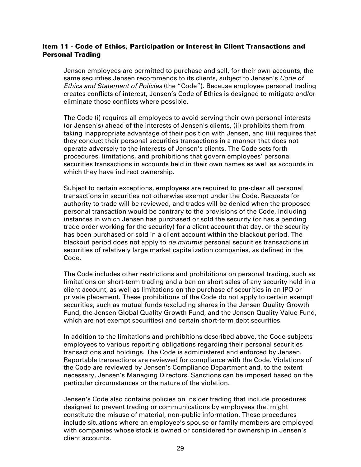# Item 11 - Code of Ethics, Participation or Interest in Client Transactions and Personal Trading

Jensen employees are permitted to purchase and sell, for their own accounts, the same securities Jensen recommends to its clients, subject to Jensen's *Code of Ethics and Statement of Policies* (the "Code"). Because employee personal trading creates conflicts of interest, Jensen's Code of Ethics is designed to mitigate and/or eliminate those conflicts where possible.

The Code (i) requires all employees to avoid serving their own personal interests (or Jensen's) ahead of the interests of Jensen's clients, (ii) prohibits them from taking inappropriate advantage of their position with Jensen, and (iii) requires that they conduct their personal securities transactions in a manner that does not operate adversely to the interests of Jensen's clients. The Code sets forth procedures, limitations, and prohibitions that govern employees' personal securities transactions in accounts held in their own names as well as accounts in which they have indirect ownership.

Subject to certain exceptions, employees are required to pre-clear all personal transactions in securities not otherwise exempt under the Code. Requests for authority to trade will be reviewed, and trades will be denied when the proposed personal transaction would be contrary to the provisions of the Code, including instances in which Jensen has purchased or sold the security (or has a pending trade order working for the security) for a client account that day, or the security has been purchased or sold in a client account within the blackout period. The blackout period does not apply to *de minimis* personal securities transactions in securities of relatively large market capitalization companies, as defined in the Code.

The Code includes other restrictions and prohibitions on personal trading, such as limitations on short-term trading and a ban on short sales of any security held in a client account, as well as limitations on the purchase of securities in an IPO or private placement. These prohibitions of the Code do not apply to certain exempt securities, such as mutual funds (excluding shares in the Jensen Quality Growth Fund, the Jensen Global Quality Growth Fund, and the Jensen Quality Value Fund, which are not exempt securities) and certain short-term debt securities.

In addition to the limitations and prohibitions described above, the Code subjects employees to various reporting obligations regarding their personal securities transactions and holdings. The Code is administered and enforced by Jensen. Reportable transactions are reviewed for compliance with the Code. Violations of the Code are reviewed by Jensen's Compliance Department and, to the extent necessary, Jensen's Managing Directors. Sanctions can be imposed based on the particular circumstances or the nature of the violation.

Jensen's Code also contains policies on insider trading that include procedures designed to prevent trading or communications by employees that might constitute the misuse of material, non-public information. These procedures include situations where an employee's spouse or family members are employed with companies whose stock is owned or considered for ownership in Jensen's client accounts.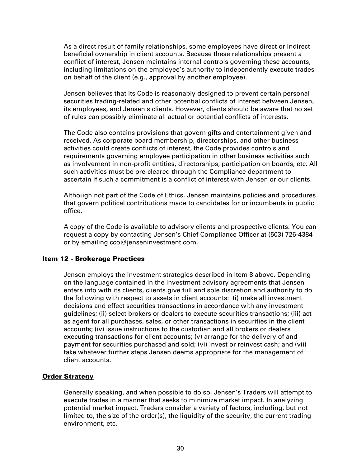As a direct result of family relationships, some employees have direct or indirect beneficial ownership in client accounts. Because these relationships present a conflict of interest, Jensen maintains internal controls governing these accounts, including limitations on the employee's authority to independently execute trades on behalf of the client (e.g., approval by another employee).

Jensen believes that its Code is reasonably designed to prevent certain personal securities trading-related and other potential conflicts of interest between Jensen, its employees, and Jensen's clients. However, clients should be aware that no set of rules can possibly eliminate all actual or potential conflicts of interests.

The Code also contains provisions that govern gifts and entertainment given and received. As corporate board membership, directorships, and other business activities could create conflicts of interest, the Code provides controls and requirements governing employee participation in other business activities such as involvement in non-profit entities, directorships, participation on boards, etc. All such activities must be pre-cleared through the Compliance department to ascertain if such a commitment is a conflict of interest with Jensen or our clients.

Although not part of the Code of Ethics, Jensen maintains policies and procedures that govern political contributions made to candidates for or incumbents in public office.

A copy of the Code is available to advisory clients and prospective clients. You can request a copy by contacting Jensen's Chief Compliance Officer at (503) 726-4384 or by emailing cco@jenseninvestment.com.

#### Item 12 - Brokerage Practices

Jensen employs the investment strategies described in Item 8 above. Depending on the language contained in the investment advisory agreements that Jensen enters into with its clients, clients give full and sole discretion and authority to do the following with respect to assets in client accounts: (i) make all investment decisions and effect securities transactions in accordance with any investment guidelines; (ii) select brokers or dealers to execute securities transactions; (iii) act as agent for all purchases, sales, or other transactions in securities in the client accounts; (iv) issue instructions to the custodian and all brokers or dealers executing transactions for client accounts; (v) arrange for the delivery of and payment for securities purchased and sold; (vi) invest or reinvest cash; and (vii) take whatever further steps Jensen deems appropriate for the management of client accounts.

# Order Strategy

Generally speaking, and when possible to do so, Jensen's Traders will attempt to execute trades in a manner that seeks to minimize market impact. In analyzing potential market impact, Traders consider a variety of factors, including, but not limited to, the size of the order(s), the liquidity of the security, the current trading environment, etc.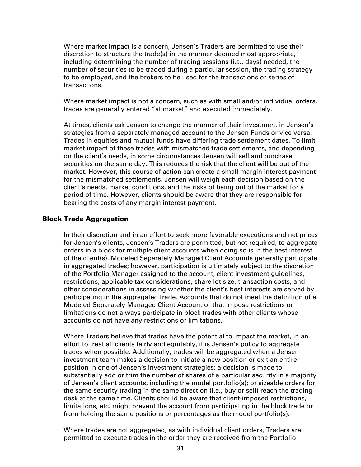Where market impact is a concern, Jensen's Traders are permitted to use their discretion to structure the trade(s) in the manner deemed most appropriate, including determining the number of trading sessions (i.e., days) needed, the number of securities to be traded during a particular session, the trading strategy to be employed, and the brokers to be used for the transactions or series of transactions.

Where market impact is not a concern, such as with small and/or individual orders, trades are generally entered "at market" and executed immediately.

At times, clients ask Jensen to change the manner of their investment in Jensen's strategies from a separately managed account to the Jensen Funds or vice versa. Trades in equities and mutual funds have differing trade settlement dates. To limit market impact of these trades with mismatched trade settlements, and depending on the client's needs, in some circumstances Jensen will sell and purchase securities on the same day. This reduces the risk that the client will be out of the market. However, this course of action can create a small margin interest payment for the mismatched settlements. Jensen will weigh each decision based on the client's needs, market conditions, and the risks of being out of the market for a period of time. However, clients should be aware that they are responsible for bearing the costs of any margin interest payment.

### Block Trade Aggregation

In their discretion and in an effort to seek more favorable executions and net prices for Jensen's clients, Jensen's Traders are permitted, but not required, to aggregate orders in a block for multiple client accounts when doing so is in the best interest of the client(s). Modeled Separately Managed Client Accounts generally participate in aggregated trades; however, participation is ultimately subject to the discretion of the Portfolio Manager assigned to the account, client investment guidelines, restrictions, applicable tax considerations, share lot size, transaction costs, and other considerations in assessing whether the client's best interests are served by participating in the aggregated trade. Accounts that do not meet the definition of a Modeled Separately Managed Client Account or that impose restrictions or limitations do not always participate in block trades with other clients whose accounts do not have any restrictions or limitations.

Where Traders believe that trades have the potential to impact the market, in an effort to treat all clients fairly and equitably, it is Jensen's policy to aggregate trades when possible. Additionally, trades will be aggregated when a Jensen investment team makes a decision to initiate a new position or exit an entire position in one of Jensen's investment strategies; a decision is made to substantially add or trim the number of shares of a particular security in a majority of Jensen's client accounts, including the model portfolio(s); or sizeable orders for the same security trading in the same direction (i.e., buy or sell) reach the trading desk at the same time. Clients should be aware that client-imposed restrictions, limitations, etc. might prevent the account from participating in the block trade or from holding the same positions or percentages as the model portfolio(s).

Where trades are not aggregated, as with individual client orders, Traders are permitted to execute trades in the order they are received from the Portfolio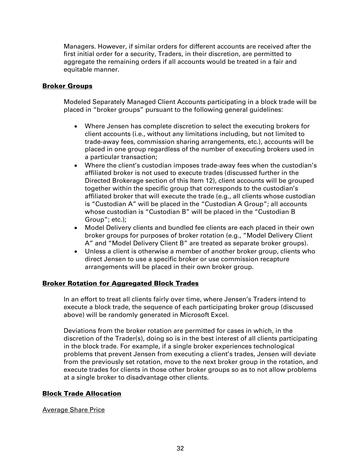Managers. However, if similar orders for different accounts are received after the first initial order for a security, Traders, in their discretion, are permitted to aggregate the remaining orders if all accounts would be treated in a fair and equitable manner.

# Broker Groups

Modeled Separately Managed Client Accounts participating in a block trade will be placed in "broker groups" pursuant to the following general guidelines:

- Where Jensen has complete discretion to select the executing brokers for client accounts (i.e., without any limitations including, but not limited to trade-away fees, commission sharing arrangements, etc.), accounts will be placed in one group regardless of the number of executing brokers used in a particular transaction;
- Where the client's custodian imposes trade-away fees when the custodian's affiliated broker is not used to execute trades (discussed further in the Directed Brokerage section of this Item 12), client accounts will be grouped together within the specific group that corresponds to the custodian's affiliated broker that will execute the trade (e.g., all clients whose custodian is "Custodian A" will be placed in the "Custodian A Group"; all accounts whose custodian is "Custodian B" will be placed in the "Custodian B Group"; etc.);
- Model Delivery clients and bundled fee clients are each placed in their own broker groups for purposes of broker rotation (e.g., "Model Delivery Client A" and "Model Delivery Client B" are treated as separate broker groups).
- Unless a client is otherwise a member of another broker group, clients who direct Jensen to use a specific broker or use commission recapture arrangements will be placed in their own broker group.

# Broker Rotation for Aggregated Block Trades

In an effort to treat all clients fairly over time, where Jensen's Traders intend to execute a block trade, the sequence of each participating broker group (discussed above) will be randomly generated in Microsoft Excel.

Deviations from the broker rotation are permitted for cases in which, in the discretion of the Trader(s), doing so is in the best interest of all clients participating in the block trade. For example, if a single broker experiences technological problems that prevent Jensen from executing a client's trades, Jensen will deviate from the previously set rotation, move to the next broker group in the rotation, and execute trades for clients in those other broker groups so as to not allow problems at a single broker to disadvantage other clients.

# Block Trade Allocation

# Average Share Price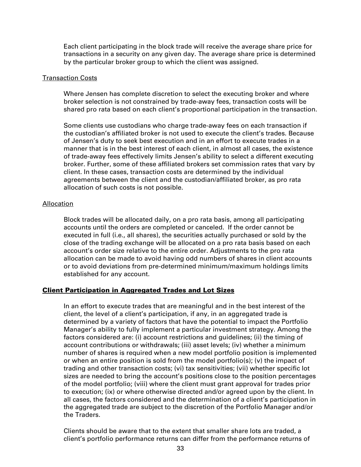Each client participating in the block trade will receive the average share price for transactions in a security on any given day. The average share price is determined by the particular broker group to which the client was assigned.

#### Transaction Costs

Where Jensen has complete discretion to select the executing broker and where broker selection is not constrained by trade-away fees, transaction costs will be shared pro rata based on each client's proportional participation in the transaction.

Some clients use custodians who charge trade-away fees on each transaction if the custodian's affiliated broker is not used to execute the client's trades. Because of Jensen's duty to seek best execution and in an effort to execute trades in a manner that is in the best interest of each client, in almost all cases, the existence of trade-away fees effectively limits Jensen's ability to select a different executing broker. Further, some of these affiliated brokers set commission rates that vary by client. In these cases, transaction costs are determined by the individual agreements between the client and the custodian/affiliated broker, as pro rata allocation of such costs is not possible.

# Allocation

Block trades will be allocated daily, on a pro rata basis, among all participating accounts until the orders are completed or canceled. If the order cannot be executed in full (i.e., all shares), the securities actually purchased or sold by the close of the trading exchange will be allocated on a pro rata basis based on each account's order size relative to the entire order. Adjustments to the pro rata allocation can be made to avoid having odd numbers of shares in client accounts or to avoid deviations from pre-determined minimum/maximum holdings limits established for any account.

# Client Participation in Aggregated Trades and Lot Sizes

In an effort to execute trades that are meaningful and in the best interest of the client, the level of a client's participation, if any, in an aggregated trade is determined by a variety of factors that have the potential to impact the Portfolio Manager's ability to fully implement a particular investment strategy. Among the factors considered are: (i) account restrictions and guidelines; (ii) the timing of account contributions or withdrawals; (iii) asset levels; (iv) whether a minimum number of shares is required when a new model portfolio position is implemented or when an entire position is sold from the model portfolio(s); (v) the impact of trading and other transaction costs; (vi) tax sensitivities; (vii) whether specific lot sizes are needed to bring the account's positions close to the position percentages of the model portfolio; (viii) where the client must grant approval for trades prior to execution; (ix) or where otherwise directed and/or agreed upon by the client. In all cases, the factors considered and the determination of a client's participation in the aggregated trade are subject to the discretion of the Portfolio Manager and/or the Traders.

Clients should be aware that to the extent that smaller share lots are traded, a client's portfolio performance returns can differ from the performance returns of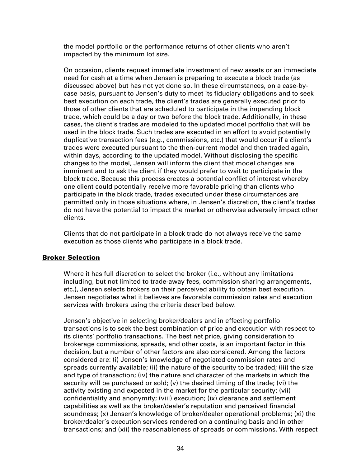the model portfolio or the performance returns of other clients who aren't impacted by the minimum lot size.

On occasion, clients request immediate investment of new assets or an immediate need for cash at a time when Jensen is preparing to execute a block trade (as discussed above) but has not yet done so. In these circumstances, on a case-bycase basis, pursuant to Jensen's duty to meet its fiduciary obligations and to seek best execution on each trade, the client's trades are generally executed prior to those of other clients that are scheduled to participate in the impending block trade, which could be a day or two before the block trade. Additionally, in these cases, the client's trades are modeled to the updated model portfolio that will be used in the block trade. Such trades are executed in an effort to avoid potentially duplicative transaction fees (e.g., commissions, etc.) that would occur if a client's trades were executed pursuant to the then-current model and then traded again, within days, according to the updated model. Without disclosing the specific changes to the model, Jensen will inform the client that model changes are imminent and to ask the client if they would prefer to wait to participate in the block trade. Because this process creates a potential conflict of interest whereby one client could potentially receive more favorable pricing than clients who participate in the block trade, trades executed under these circumstances are permitted only in those situations where, in Jensen's discretion, the client's trades do not have the potential to impact the market or otherwise adversely impact other clients.

Clients that do not participate in a block trade do not always receive the same execution as those clients who participate in a block trade.

# Broker Selection

Where it has full discretion to select the broker (i.e., without any limitations including, but not limited to trade-away fees, commission sharing arrangements, etc.), Jensen selects brokers on their perceived ability to obtain best execution. Jensen negotiates what it believes are favorable commission rates and execution services with brokers using the criteria described below.

Jensen's objective in selecting broker/dealers and in effecting portfolio transactions is to seek the best combination of price and execution with respect to its clients' portfolio transactions. The best net price, giving consideration to brokerage commissions, spreads, and other costs, is an important factor in this decision, but a number of other factors are also considered. Among the factors considered are: (i) Jensen's knowledge of negotiated commission rates and spreads currently available; (ii) the nature of the security to be traded; (iii) the size and type of transaction; (iv) the nature and character of the markets in which the security will be purchased or sold; (v) the desired timing of the trade; (vi) the activity existing and expected in the market for the particular security; (vii) confidentiality and anonymity; (viii) execution; (ix) clearance and settlement capabilities as well as the broker/dealer's reputation and perceived financial soundness; (x) Jensen's knowledge of broker/dealer operational problems; (xi) the broker/dealer's execution services rendered on a continuing basis and in other transactions; and (xii) the reasonableness of spreads or commissions. With respect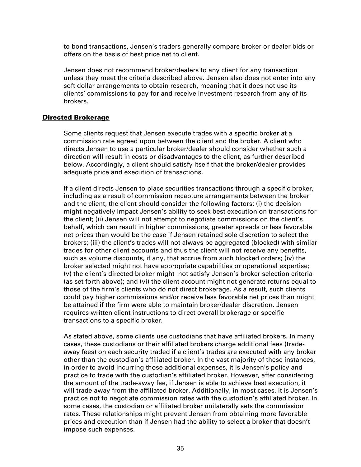to bond transactions, Jensen's traders generally compare broker or dealer bids or offers on the basis of best price net to client.

Jensen does not recommend broker/dealers to any client for any transaction unless they meet the criteria described above. Jensen also does not enter into any soft dollar arrangements to obtain research, meaning that it does not use its clients' commissions to pay for and receive investment research from any of its brokers.

### Directed Brokerage

Some clients request that Jensen execute trades with a specific broker at a commission rate agreed upon between the client and the broker. A client who directs Jensen to use a particular broker/dealer should consider whether such a direction will result in costs or disadvantages to the client, as further described below. Accordingly, a client should satisfy itself that the broker/dealer provides adequate price and execution of transactions.

If a client directs Jensen to place securities transactions through a specific broker, including as a result of commission recapture arrangements between the broker and the client, the client should consider the following factors: (i) the decision might negatively impact Jensen's ability to seek best execution on transactions for the client; (ii) Jensen will not attempt to negotiate commissions on the client's behalf, which can result in higher commissions, greater spreads or less favorable net prices than would be the case if Jensen retained sole discretion to select the brokers; (iii) the client's trades will not always be aggregated (blocked) with similar trades for other client accounts and thus the client will not receive any benefits, such as volume discounts, if any, that accrue from such blocked orders; (iv) the broker selected might not have appropriate capabilities or operational expertise; (v) the client's directed broker might not satisfy Jensen's broker selection criteria (as set forth above); and (vi) the client account might not generate returns equal to those of the firm's clients who do not direct brokerage. As a result, such clients could pay higher commissions and/or receive less favorable net prices than might be attained if the firm were able to maintain broker/dealer discretion. Jensen requires written client instructions to direct overall brokerage or specific transactions to a specific broker.

As stated above, some clients use custodians that have affiliated brokers. In many cases, these custodians or their affiliated brokers charge additional fees (tradeaway fees) on each security traded if a client's trades are executed with any broker other than the custodian's affiliated broker. In the vast majority of these instances, in order to avoid incurring those additional expenses, it is Jensen's policy and practice to trade with the custodian's affiliated broker. However, after considering the amount of the trade-away fee, if Jensen is able to achieve best execution, it will trade away from the affiliated broker. Additionally, in most cases, it is Jensen's practice not to negotiate commission rates with the custodian's affiliated broker. In some cases, the custodian or affiliated broker unilaterally sets the commission rates. These relationships might prevent Jensen from obtaining more favorable prices and execution than if Jensen had the ability to select a broker that doesn't impose such expenses.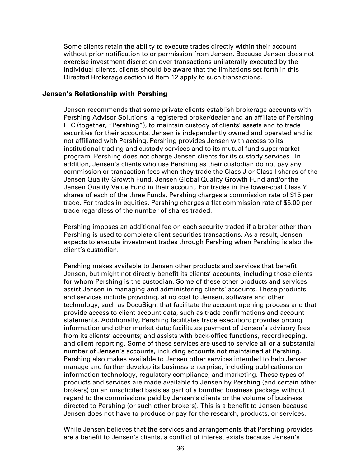Some clients retain the ability to execute trades directly within their account without prior notification to or permission from Jensen. Because Jensen does not exercise investment discretion over transactions unilaterally executed by the individual clients, clients should be aware that the limitations set forth in this Directed Brokerage section id Item 12 apply to such transactions.

### Jensen's Relationship with Pershing

Jensen recommends that some private clients establish brokerage accounts with Pershing Advisor Solutions, a registered broker/dealer and an affiliate of Pershing LLC (together, "Pershing"), to maintain custody of clients' assets and to trade securities for their accounts. Jensen is independently owned and operated and is not affiliated with Pershing. Pershing provides Jensen with access to its institutional trading and custody services and to its mutual fund supermarket program. Pershing does not charge Jensen clients for its custody services. In addition, Jensen's clients who use Pershing as their custodian do not pay any commission or transaction fees when they trade the Class J or Class I shares of the Jensen Quality Growth Fund, Jensen Global Quality Growth Fund and/or the Jensen Quality Value Fund in their account. For trades in the lower-cost Class Y shares of each of the three Funds, Pershing charges a commission rate of \$15 per trade. For trades in equities, Pershing charges a flat commission rate of \$5.00 per trade regardless of the number of shares traded.

Pershing imposes an additional fee on each security traded if a broker other than Pershing is used to complete client securities transactions. As a result, Jensen expects to execute investment trades through Pershing when Pershing is also the client's custodian.

Pershing makes available to Jensen other products and services that benefit Jensen, but might not directly benefit its clients' accounts, including those clients for whom Pershing is the custodian. Some of these other products and services assist Jensen in managing and administering clients' accounts. These products and services include providing, at no cost to Jensen, software and other technology, such as DocuSign, that facilitate the account opening process and that provide access to client account data, such as trade confirmations and account statements. Additionally, Pershing facilitates trade execution; provides pricing information and other market data; facilitates payment of Jensen's advisory fees from its clients' accounts; and assists with back-office functions, recordkeeping, and client reporting. Some of these services are used to service all or a substantial number of Jensen's accounts, including accounts not maintained at Pershing. Pershing also makes available to Jensen other services intended to help Jensen manage and further develop its business enterprise, including publications on information technology, regulatory compliance, and marketing. These types of products and services are made available to Jensen by Pershing (and certain other brokers) on an unsolicited basis as part of a bundled business package without regard to the commissions paid by Jensen's clients or the volume of business directed to Pershing (or such other brokers). This is a benefit to Jensen because Jensen does not have to produce or pay for the research, products, or services.

While Jensen believes that the services and arrangements that Pershing provides are a benefit to Jensen's clients, a conflict of interest exists because Jensen's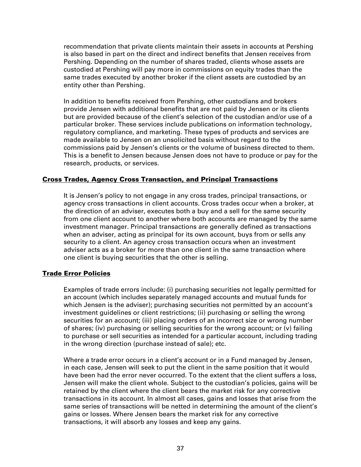recommendation that private clients maintain their assets in accounts at Pershing is also based in part on the direct and indirect benefits that Jensen receives from Pershing. Depending on the number of shares traded, clients whose assets are custodied at Pershing will pay more in commissions on equity trades than the same trades executed by another broker if the client assets are custodied by an entity other than Pershing.

In addition to benefits received from Pershing, other custodians and brokers provide Jensen with additional benefits that are not paid by Jensen or its clients but are provided because of the client's selection of the custodian and/or use of a particular broker. These services include publications on information technology, regulatory compliance, and marketing. These types of products and services are made available to Jensen on an unsolicited basis without regard to the commissions paid by Jensen's clients or the volume of business directed to them. This is a benefit to Jensen because Jensen does not have to produce or pay for the research, products, or services.

# Cross Trades, Agency Cross Transaction, and Principal Transactions

It is Jensen's policy to not engage in any cross trades, principal transactions, or agency cross transactions in client accounts. Cross trades occur when a broker, at the direction of an adviser, executes both a buy and a sell for the same security from one client account to another where both accounts are managed by the same investment manager. Principal transactions are generally defined as transactions when an adviser, acting as principal for its own account, buys from or sells any security to a client. An agency cross transaction occurs when an investment adviser acts as a broker for more than one client in the same transaction where one client is buying securities that the other is selling.

#### Trade Error Policies

Examples of trade errors include: (i) purchasing securities not legally permitted for an account (which includes separately managed accounts and mutual funds for which Jensen is the adviser); purchasing securities not permitted by an account's investment guidelines or client restrictions; (ii) purchasing or selling the wrong securities for an account; (iii) placing orders of an incorrect size or wrong number of shares; (iv) purchasing or selling securities for the wrong account; or (v) failing to purchase or sell securities as intended for a particular account, including trading in the wrong direction (purchase instead of sale); etc.

Where a trade error occurs in a client's account or in a Fund managed by Jensen, in each case, Jensen will seek to put the client in the same position that it would have been had the error never occurred. To the extent that the client suffers a loss, Jensen will make the client whole. Subject to the custodian's policies, gains will be retained by the client where the client bears the market risk for any corrective transactions in its account. In almost all cases, gains and losses that arise from the same series of transactions will be netted in determining the amount of the client's gains or losses. Where Jensen bears the market risk for any corrective transactions, it will absorb any losses and keep any gains.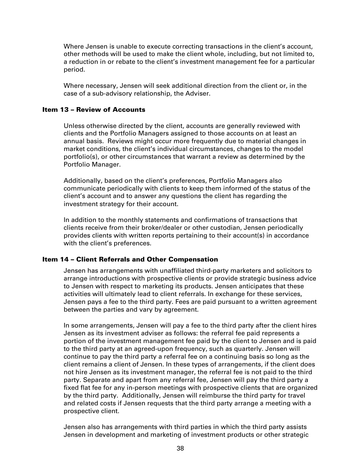Where Jensen is unable to execute correcting transactions in the client's account, other methods will be used to make the client whole, including, but not limited to, a reduction in or rebate to the client's investment management fee for a particular period.

Where necessary, Jensen will seek additional direction from the client or, in the case of a sub-advisory relationship, the Adviser.

### Item 13 – Review of Accounts

Unless otherwise directed by the client, accounts are generally reviewed with clients and the Portfolio Managers assigned to those accounts on at least an annual basis. Reviews might occur more frequently due to material changes in market conditions, the client's individual circumstances, changes to the model portfolio(s), or other circumstances that warrant a review as determined by the Portfolio Manager.

Additionally, based on the client's preferences, Portfolio Managers also communicate periodically with clients to keep them informed of the status of the client's account and to answer any questions the client has regarding the investment strategy for their account.

In addition to the monthly statements and confirmations of transactions that clients receive from their broker/dealer or other custodian, Jensen periodically provides clients with written reports pertaining to their account(s) in accordance with the client's preferences.

# Item 14 – Client Referrals and Other Compensation

Jensen has arrangements with unaffiliated third-party marketers and solicitors to arrange introductions with prospective clients or provide strategic business advice to Jensen with respect to marketing its products. Jensen anticipates that these activities will ultimately lead to client referrals. In exchange for these services, Jensen pays a fee to the third party. Fees are paid pursuant to a written agreement between the parties and vary by agreement.

In some arrangements, Jensen will pay a fee to the third party after the client hires Jensen as its investment adviser as follows: the referral fee paid represents a portion of the investment management fee paid by the client to Jensen and is paid to the third party at an agreed-upon frequency, such as quarterly. Jensen will continue to pay the third party a referral fee on a continuing basis so long as the client remains a client of Jensen. In these types of arrangements, if the client does not hire Jensen as its investment manager, the referral fee is not paid to the third party. Separate and apart from any referral fee, Jensen will pay the third party a fixed flat fee for any in-person meetings with prospective clients that are organized by the third party. Additionally, Jensen will reimburse the third party for travel and related costs if Jensen requests that the third party arrange a meeting with a prospective client.

Jensen also has arrangements with third parties in which the third party assists Jensen in development and marketing of investment products or other strategic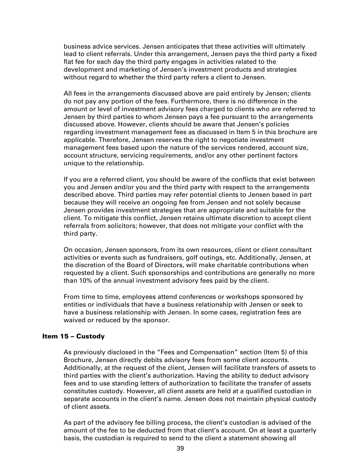business advice services. Jensen anticipates that these activities will ultimately lead to client referrals. Under this arrangement, Jensen pays the third party a fixed flat fee for each day the third party engages in activities related to the development and marketing of Jensen's investment products and strategies without regard to whether the third party refers a client to Jensen.

All fees in the arrangements discussed above are paid entirely by Jensen; clients do not pay any portion of the fees. Furthermore, there is no difference in the amount or level of investment advisory fees charged to clients who are referred to Jensen by third parties to whom Jensen pays a fee pursuant to the arrangements discussed above. However, clients should be aware that Jensen's policies regarding investment management fees as discussed in Item 5 in this brochure are applicable. Therefore, Jensen reserves the right to negotiate investment management fees based upon the nature of the services rendered, account size, account structure, servicing requirements, and/or any other pertinent factors unique to the relationship.

If you are a referred client, you should be aware of the conflicts that exist between you and Jensen and/or you and the third party with respect to the arrangements described above. Third parties may refer potential clients to Jensen based in part because they will receive an ongoing fee from Jensen and not solely because Jensen provides investment strategies that are appropriate and suitable for the client. To mitigate this conflict, Jensen retains ultimate discretion to accept client referrals from solicitors; however, that does not mitigate your conflict with the third party.

On occasion, Jensen sponsors, from its own resources, client or client consultant activities or events such as fundraisers, golf outings, etc. Additionally, Jensen, at the discretion of the Board of Directors, will make charitable contributions when requested by a client. Such sponsorships and contributions are generally no more than 10% of the annual investment advisory fees paid by the client.

From time to time, employees attend conferences or workshops sponsored by entities or individuals that have a business relationship with Jensen or seek to have a business relationship with Jensen. In some cases, registration fees are waived or reduced by the sponsor.

# Item 15 – Custody

As previously disclosed in the "Fees and Compensation" section (Item 5) of this Brochure, Jensen directly debits advisory fees from some client accounts. Additionally, at the request of the client, Jensen will facilitate transfers of assets to third parties with the client's authorization. Having the ability to deduct advisory fees and to use standing letters of authorization to facilitate the transfer of assets constitutes custody. However, all client assets are held at a qualified custodian in separate accounts in the client's name. Jensen does not maintain physical custody of client assets.

As part of the advisory fee billing process, the client's custodian is advised of the amount of the fee to be deducted from that client's account. On at least a quarterly basis, the custodian is required to send to the client a statement showing all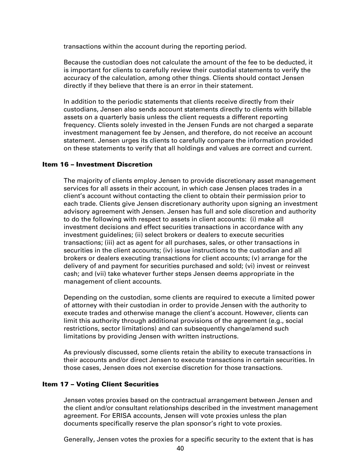transactions within the account during the reporting period.

Because the custodian does not calculate the amount of the fee to be deducted, it is important for clients to carefully review their custodial statements to verify the accuracy of the calculation, among other things. Clients should contact Jensen directly if they believe that there is an error in their statement.

In addition to the periodic statements that clients receive directly from their custodians, Jensen also sends account statements directly to clients with billable assets on a quarterly basis unless the client requests a different reporting frequency. Clients solely invested in the Jensen Funds are not charged a separate investment management fee by Jensen, and therefore, do not receive an account statement. Jensen urges its clients to carefully compare the information provided on these statements to verify that all holdings and values are correct and current.

# Item 16 – Investment Discretion

The majority of clients employ Jensen to provide discretionary asset management services for all assets in their account, in which case Jensen places trades in a client's account without contacting the client to obtain their permission prior to each trade. Clients give Jensen discretionary authority upon signing an investment advisory agreement with Jensen. Jensen has full and sole discretion and authority to do the following with respect to assets in client accounts: (i) make all investment decisions and effect securities transactions in accordance with any investment guidelines; (ii) select brokers or dealers to execute securities transactions; (iii) act as agent for all purchases, sales, or other transactions in securities in the client accounts; (iv) issue instructions to the custodian and all brokers or dealers executing transactions for client accounts; (v) arrange for the delivery of and payment for securities purchased and sold; (vi) invest or reinvest cash; and (vii) take whatever further steps Jensen deems appropriate in the management of client accounts.

Depending on the custodian, some clients are required to execute a limited power of attorney with their custodian in order to provide Jensen with the authority to execute trades and otherwise manage the client's account. However, clients can limit this authority through additional provisions of the agreement (e.g., social restrictions, sector limitations) and can subsequently change/amend such limitations by providing Jensen with written instructions.

As previously discussed, some clients retain the ability to execute transactions in their accounts and/or direct Jensen to execute transactions in certain securities. In those cases, Jensen does not exercise discretion for those transactions.

### Item 17 – Voting Client Securities

Jensen votes proxies based on the contractual arrangement between Jensen and the client and/or consultant relationships described in the investment management agreement. For ERISA accounts, Jensen will vote proxies unless the plan documents specifically reserve the plan sponsor's right to vote proxies.

Generally, Jensen votes the proxies for a specific security to the extent that is has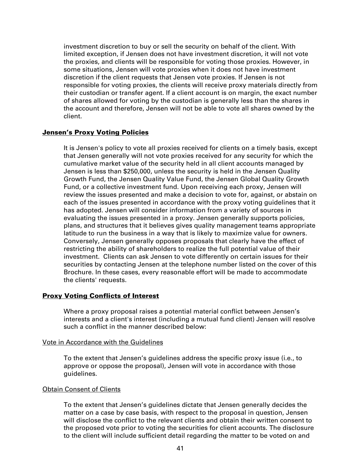investment discretion to buy or sell the security on behalf of the client. With limited exception, if Jensen does not have investment discretion, it will not vote the proxies, and clients will be responsible for voting those proxies. However, in some situations, Jensen will vote proxies when it does not have investment discretion if the client requests that Jensen vote proxies. If Jensen is not responsible for voting proxies, the clients will receive proxy materials directly from their custodian or transfer agent. If a client account is on margin, the exact number of shares allowed for voting by the custodian is generally less than the shares in the account and therefore, Jensen will not be able to vote all shares owned by the client.

# **Jensen's Proxy Voting Policies**

It is Jensen's policy to vote all proxies received for clients on a timely basis, except that Jensen generally will not vote proxies received for any security for which the cumulative market value of the security held in all client accounts managed by Jensen is less than \$250,000, unless the security is held in the Jensen Quality Growth Fund, the Jensen Quality Value Fund, the Jensen Global Quality Growth Fund, or a collective investment fund. Upon receiving each proxy, Jensen will review the issues presented and make a decision to vote for, against, or abstain on each of the issues presented in accordance with the proxy voting guidelines that it has adopted. Jensen will consider information from a variety of sources in evaluating the issues presented in a proxy. Jensen generally supports policies, plans, and structures that it believes gives quality management teams appropriate latitude to run the business in a way that is likely to maximize value for owners. Conversely, Jensen generally opposes proposals that clearly have the effect of restricting the ability of shareholders to realize the full potential value of their investment. Clients can ask Jensen to vote differently on certain issues for their securities by contacting Jensen at the telephone number listed on the cover of this Brochure. In these cases, every reasonable effort will be made to accommodate the clients' requests.

# Proxy Voting Conflicts of Interest

Where a proxy proposal raises a potential material conflict between Jensen's interests and a client's interest (including a mutual fund client) Jensen will resolve such a conflict in the manner described below:

# Vote in Accordance with the Guidelines

To the extent that Jensen's guidelines address the specific proxy issue (i.e., to approve or oppose the proposal), Jensen will vote in accordance with those guidelines.

# Obtain Consent of Clients

To the extent that Jensen's guidelines dictate that Jensen generally decides the matter on a case by case basis, with respect to the proposal in question, Jensen will disclose the conflict to the relevant clients and obtain their written consent to the proposed vote prior to voting the securities for client accounts. The disclosure to the client will include sufficient detail regarding the matter to be voted on and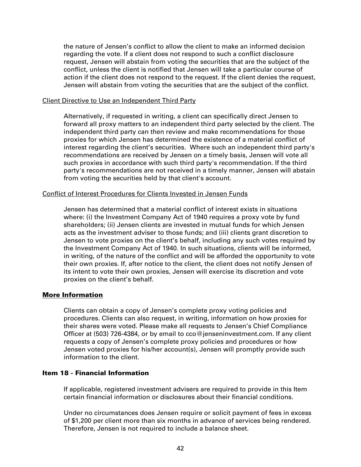the nature of Jensen's conflict to allow the client to make an informed decision regarding the vote. If a client does not respond to such a conflict disclosure request, Jensen will abstain from voting the securities that are the subject of the conflict, unless the client is notified that Jensen will take a particular course of action if the client does not respond to the request. If the client denies the request, Jensen will abstain from voting the securities that are the subject of the conflict.

#### Client Directive to Use an Independent Third Party

Alternatively, if requested in writing, a client can specifically direct Jensen to forward all proxy matters to an independent third party selected by the client. The independent third party can then review and make recommendations for those proxies for which Jensen has determined the existence of a material conflict of interest regarding the client's securities. Where such an independent third party's recommendations are received by Jensen on a timely basis, Jensen will vote all such proxies in accordance with such third party's recommendation. If the third party's recommendations are not received in a timely manner, Jensen will abstain from voting the securities held by that client's account.

### Conflict of Interest Procedures for Clients Invested in Jensen Funds

Jensen has determined that a material conflict of interest exists in situations where: (i) the Investment Company Act of 1940 requires a proxy vote by fund shareholders; (ii) Jensen clients are invested in mutual funds for which Jensen acts as the investment adviser to those funds; and (iii) clients grant discretion to Jensen to vote proxies on the client's behalf, including any such votes required by the Investment Company Act of 1940. In such situations, clients will be informed, in writing, of the nature of the conflict and will be afforded the opportunity to vote their own proxies. If, after notice to the client, the client does not notify Jensen of its intent to vote their own proxies, Jensen will exercise its discretion and vote proxies on the client's behalf.

# More Information

Clients can obtain a copy of Jensen's complete proxy voting policies and procedures. Clients can also request, in writing, information on how proxies for their shares were voted. Please make all requests to Jensen's Chief Compliance Officer at (503) 726-4384, or by email to  $cco@$  jenseninvestment.com. If any client requests a copy of Jensen's complete proxy policies and procedures or how Jensen voted proxies for his/her account(s), Jensen will promptly provide such information to the client.

# Item 18 - Financial Information

If applicable, registered investment advisers are required to provide in this Item certain financial information or disclosures about their financial conditions.

Under no circumstances does Jensen require or solicit payment of fees in excess of \$1,200 per client more than six months in advance of services being rendered. Therefore, Jensen is not required to include a balance sheet.